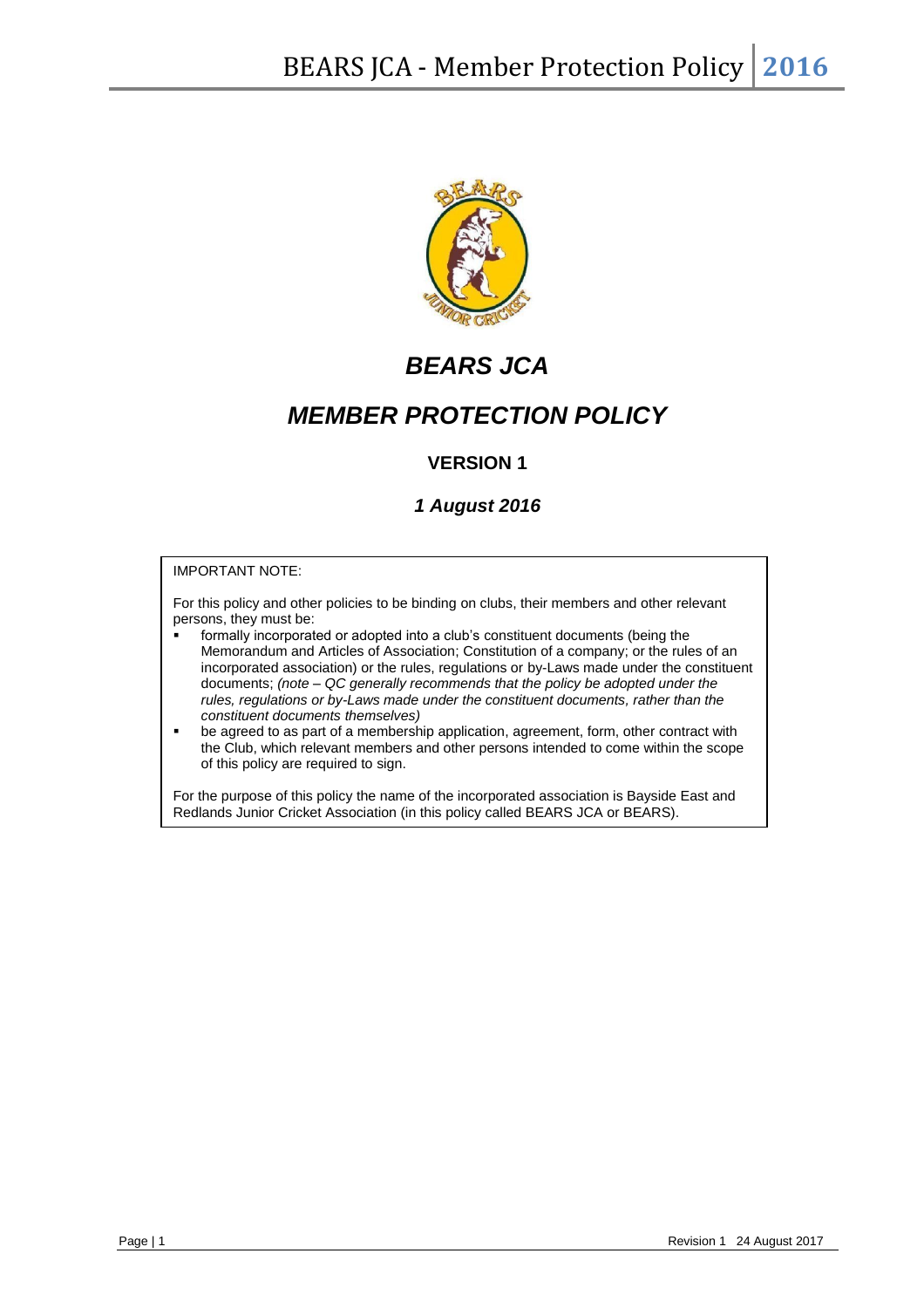

# *BEARS JCA*

# *MEMBER PROTECTION POLICY*

# **VERSION 1**

# *1 August 2016*

#### IMPORTANT NOTE:

For this policy and other policies to be binding on clubs, their members and other relevant persons, they must be:

- formally incorporated or adopted into a club's constituent documents (being the Memorandum and Articles of Association; Constitution of a company; or the rules of an incorporated association) or the rules, regulations or by-Laws made under the constituent documents; *(note – QC generally recommends that the policy be adopted under the rules, regulations or by-Laws made under the constituent documents, rather than the constituent documents themselves)*
- be agreed to as part of a membership application, agreement, form, other contract with the Club, which relevant members and other persons intended to come within the scope of this policy are required to sign.

For the purpose of this policy the name of the incorporated association is Bayside East and Redlands Junior Cricket Association (in this policy called BEARS JCA or BEARS).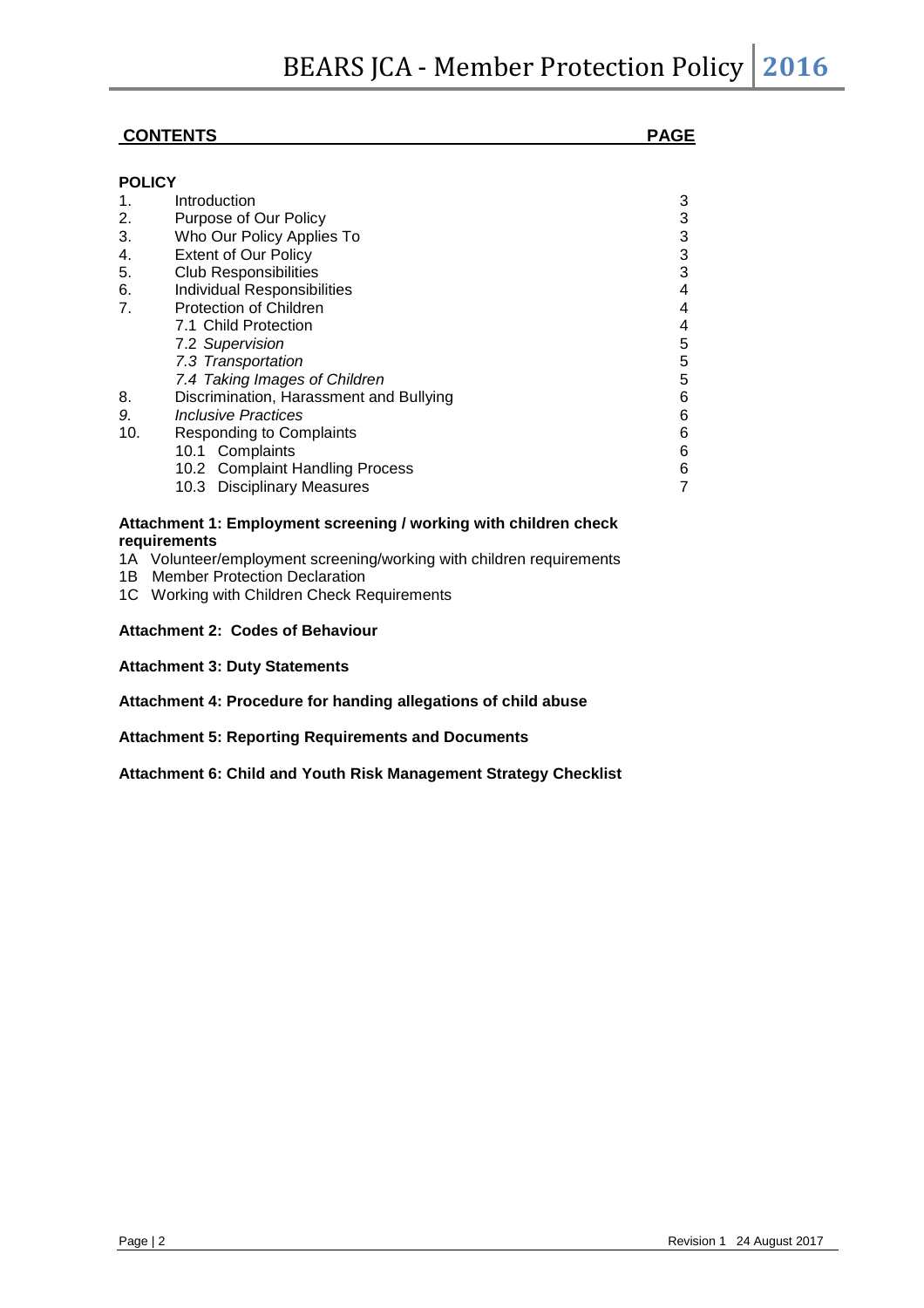### **CONTENTS**

| <b>POLICY</b>  |                                         |   |
|----------------|-----------------------------------------|---|
| 1.             | Introduction                            | 3 |
| 2.             | Purpose of Our Policy                   | 3 |
| 3.             | Who Our Policy Applies To               | 3 |
| 4.             | <b>Extent of Our Policy</b>             | 3 |
| 5.             | <b>Club Responsibilities</b>            | 3 |
| 6.             | Individual Responsibilities             | 4 |
| 7 <sub>1</sub> | <b>Protection of Children</b>           | 4 |
|                | 7.1 Child Protection                    | 4 |
|                | 7.2 Supervision                         | 5 |
|                | 7.3 Transportation                      | 5 |
|                | 7.4 Taking Images of Children           | 5 |
| 8.             | Discrimination, Harassment and Bullying | 6 |
| 9.             | Inclusive Practices                     | 6 |
| 10.            | <b>Responding to Complaints</b>         | 6 |
|                | 10.1 Complaints                         | 6 |
|                | 10.2 Complaint Handling Process         | 6 |
|                | 10.3 Disciplinary Measures              |   |

#### **Attachment 1: Employment screening / working with children check requirements**

- 1A Volunteer/employment screening/working with children requirements
- 1B Member Protection Declaration
- 1C Working with Children Check Requirements

#### **Attachment 2: Codes of Behaviour**

- **Attachment 3: Duty Statements**
- **Attachment 4: Procedure for handing allegations of child abuse**
- **Attachment 5: Reporting Requirements and Documents**

**Attachment 6: Child and Youth Risk Management Strategy Checklist**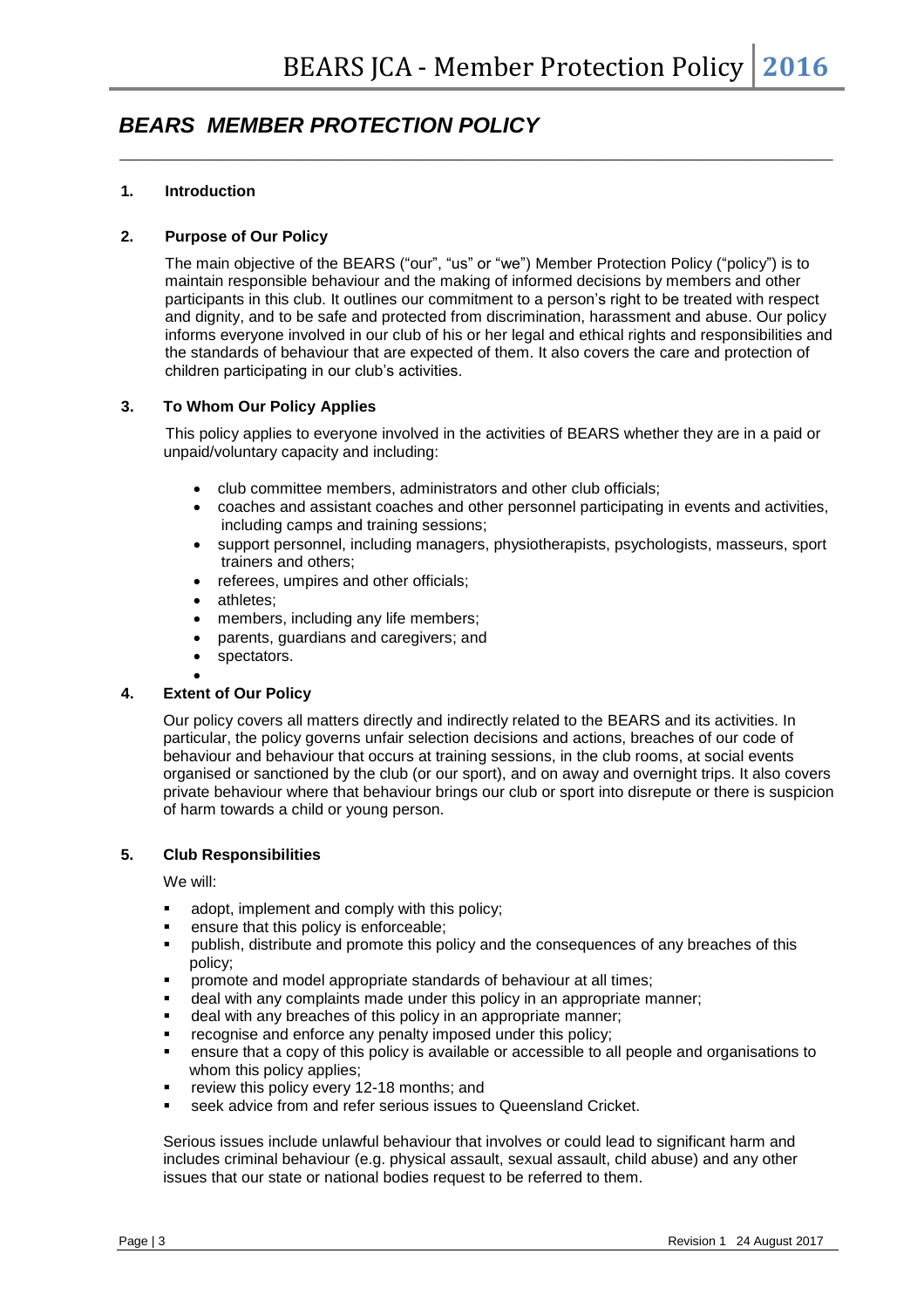# *BEARS MEMBER PROTECTION POLICY*

#### **1. Introduction**

#### **2. Purpose of Our Policy**

The main objective of the BEARS ("our", "us" or "we") Member Protection Policy ("policy") is to maintain responsible behaviour and the making of informed decisions by members and other participants in this club. It outlines our commitment to a person's right to be treated with respect and dignity, and to be safe and protected from discrimination, harassment and abuse. Our policy informs everyone involved in our club of his or her legal and ethical rights and responsibilities and the standards of behaviour that are expected of them. It also covers the care and protection of children participating in our club's activities.

*\_\_\_\_\_\_\_\_\_\_\_\_\_\_\_\_\_\_\_\_\_\_\_\_\_\_\_\_\_\_\_\_\_\_\_\_\_\_\_\_\_\_\_\_\_\_\_\_\_\_\_\_\_\_\_\_\_\_\_*

#### **3. To Whom Our Policy Applies**

This policy applies to everyone involved in the activities of BEARS whether they are in a paid or unpaid/voluntary capacity and including:

- club committee members, administrators and other club officials;
- coaches and assistant coaches and other personnel participating in events and activities, including camps and training sessions;
- support personnel, including managers, physiotherapists, psychologists, masseurs, sport trainers and others;
- referees, umpires and other officials;
- athletes;
- members, including any life members;
- parents, guardians and caregivers; and
- spectators.

#### • **4. Extent of Our Policy**

Our policy covers all matters directly and indirectly related to the BEARS and its activities. In particular, the policy governs unfair selection decisions and actions, breaches of our code of behaviour and behaviour that occurs at training sessions, in the club rooms, at social events organised or sanctioned by the club (or our sport), and on away and overnight trips. It also covers private behaviour where that behaviour brings our club or sport into disrepute or there is suspicion of harm towards a child or young person.

#### **5. Club Responsibilities**

We will:

- adopt, implement and comply with this policy;
- ensure that this policy is enforceable;
- publish, distribute and promote this policy and the consequences of any breaches of this policy;
- promote and model appropriate standards of behaviour at all times;
- deal with any complaints made under this policy in an appropriate manner:
- deal with any breaches of this policy in an appropriate manner;
- recognise and enforce any penalty imposed under this policy;
- ensure that a copy of this policy is available or accessible to all people and organisations to whom this policy applies;
- **•** review this policy every 12-18 months; and
- seek advice from and refer serious issues to Queensland Cricket.

Serious issues include unlawful behaviour that involves or could lead to significant harm and includes criminal behaviour (e.g. physical assault, sexual assault, child abuse) and any other issues that our state or national bodies request to be referred to them.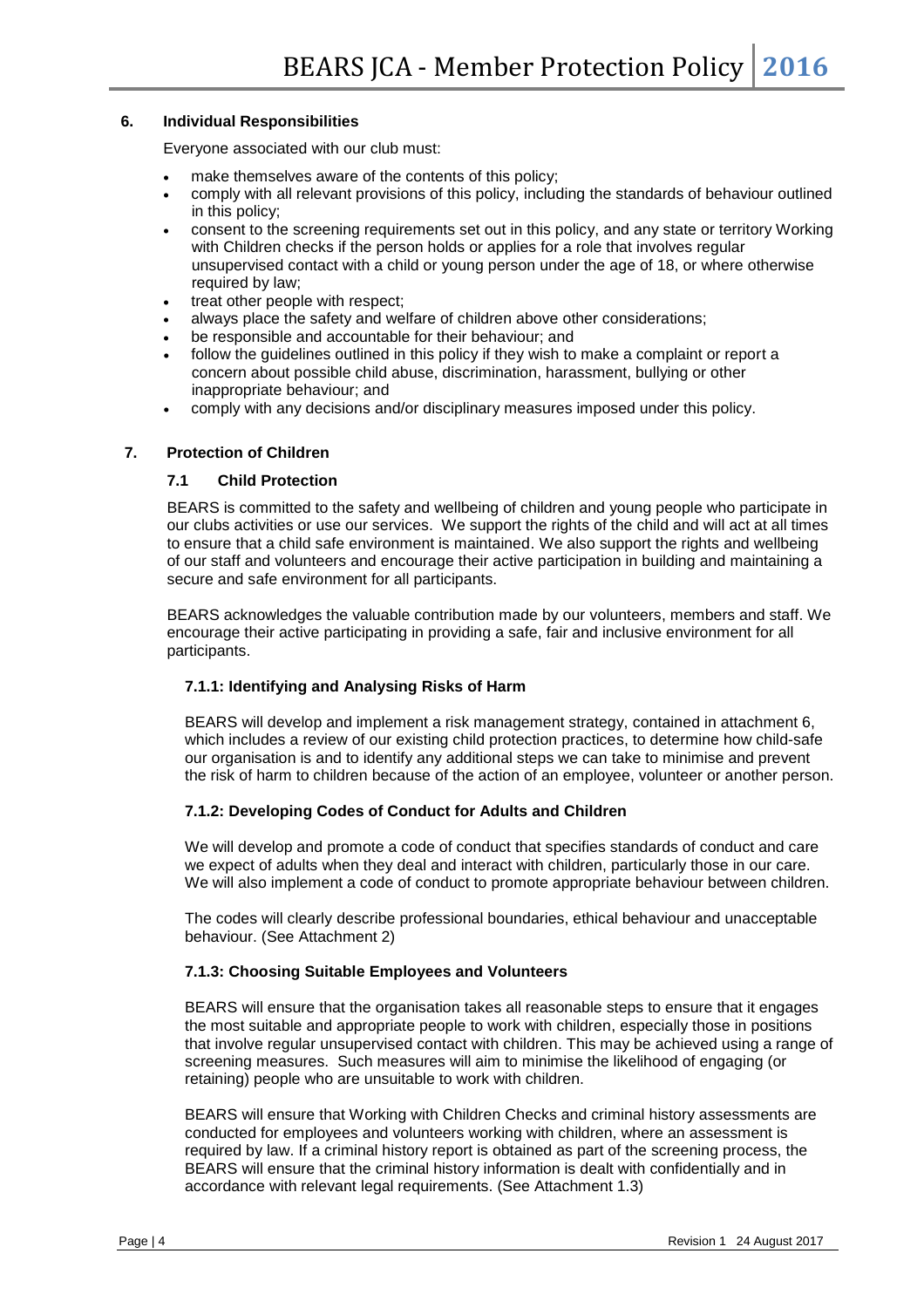#### **6. Individual Responsibilities**

Everyone associated with our club must:

- make themselves aware of the contents of this policy;
- comply with all relevant provisions of this policy, including the standards of behaviour outlined in this policy;
- consent to the screening requirements set out in this policy, and any state or territory Working with Children checks if the person holds or applies for a role that involves regular unsupervised contact with a child or young person under the age of 18, or where otherwise required by law:
- treat other people with respect:
- always place the safety and welfare of children above other considerations;
- be responsible and accountable for their behaviour; and
- follow the guidelines outlined in this policy if they wish to make a complaint or report a concern about possible child abuse, discrimination, harassment, bullying or other inappropriate behaviour; and
- comply with any decisions and/or disciplinary measures imposed under this policy.

#### **7. Protection of Children**

#### **7.1 Child Protection**

BEARS is committed to the safety and wellbeing of children and young people who participate in our clubs activities or use our services. We support the rights of the child and will act at all times to ensure that a child safe environment is maintained. We also support the rights and wellbeing of our staff and volunteers and encourage their active participation in building and maintaining a secure and safe environment for all participants.

BEARS acknowledges the valuable contribution made by our volunteers, members and staff. We encourage their active participating in providing a safe, fair and inclusive environment for all participants.

#### **7.1.1: Identifying and Analysing Risks of Harm**

BEARS will develop and implement a risk management strategy, contained in attachment 6, which includes a review of our existing child protection practices, to determine how child-safe our organisation is and to identify any additional steps we can take to minimise and prevent the risk of harm to children because of the action of an employee, volunteer or another person.

#### **7.1.2: Developing Codes of Conduct for Adults and Children**

We will develop and promote a code of conduct that specifies standards of conduct and care we expect of adults when they deal and interact with children, particularly those in our care. We will also implement a code of conduct to promote appropriate behaviour between children.

The codes will clearly describe professional boundaries, ethical behaviour and unacceptable behaviour. (See Attachment 2)

#### **7.1.3: Choosing Suitable Employees and Volunteers**

BEARS will ensure that the organisation takes all reasonable steps to ensure that it engages the most suitable and appropriate people to work with children, especially those in positions that involve regular unsupervised contact with children. This may be achieved using a range of screening measures. Such measures will aim to minimise the likelihood of engaging (or retaining) people who are unsuitable to work with children.

BEARS will ensure that Working with Children Checks and criminal history assessments are conducted for employees and volunteers working with children, where an assessment is required by law. If a criminal history report is obtained as part of the screening process, the BEARS will ensure that the criminal history information is dealt with confidentially and in accordance with relevant legal requirements. (See Attachment 1.3)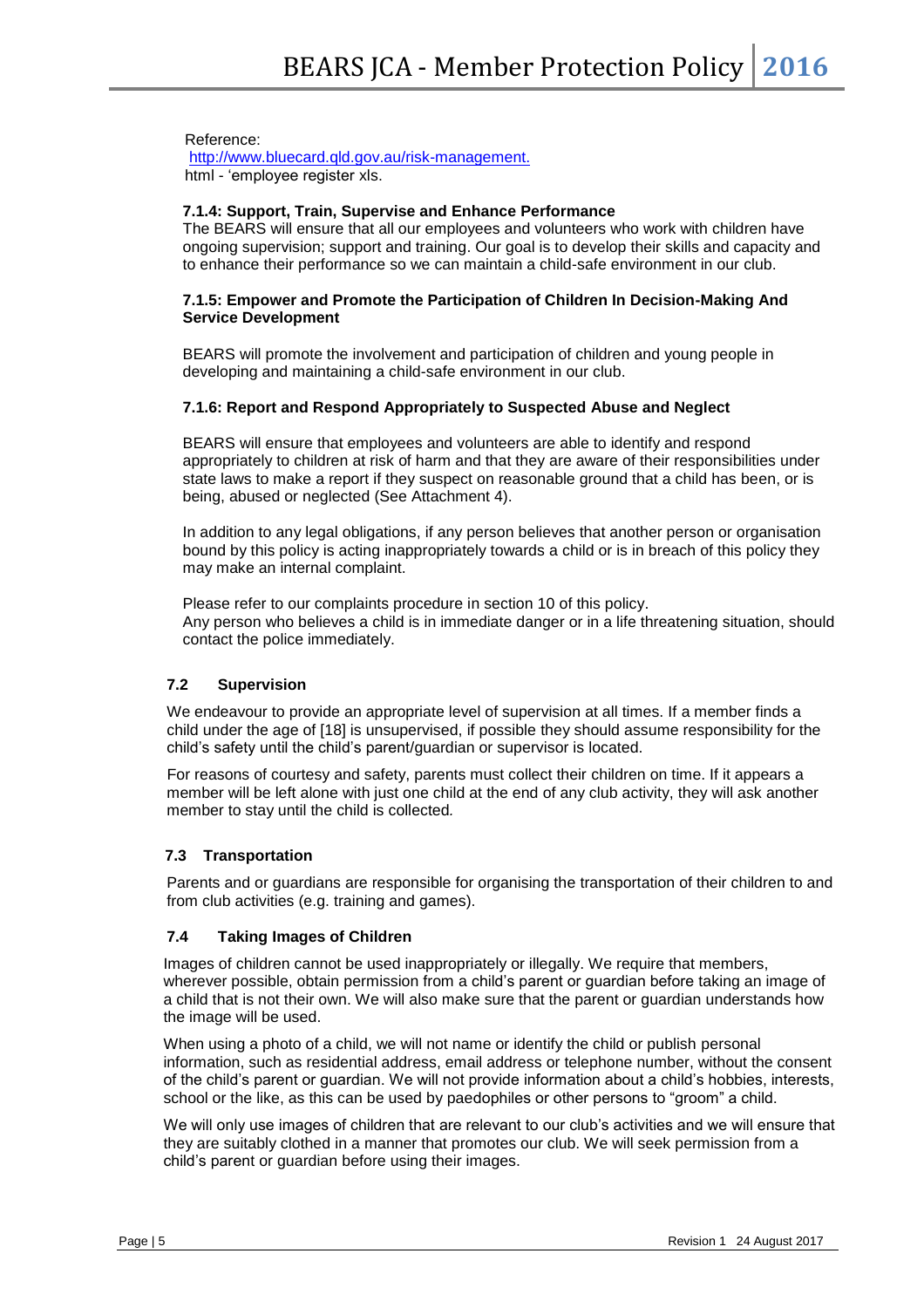#### Reference:

<http://www.bluecard.qld.gov.au/risk-management.> html - 'employee register xls.

#### **7.1.4: Support, Train, Supervise and Enhance Performance**

The BEARS will ensure that all our employees and volunteers who work with children have ongoing supervision; support and training. Our goal is to develop their skills and capacity and to enhance their performance so we can maintain a child-safe environment in our club.

#### **7.1.5: Empower and Promote the Participation of Children In Decision-Making And Service Development**

BEARS will promote the involvement and participation of children and young people in developing and maintaining a child-safe environment in our club.

#### **7.1.6: Report and Respond Appropriately to Suspected Abuse and Neglect**

BEARS will ensure that employees and volunteers are able to identify and respond appropriately to children at risk of harm and that they are aware of their responsibilities under state laws to make a report if they suspect on reasonable ground that a child has been, or is being, abused or neglected (See Attachment 4).

In addition to any legal obligations, if any person believes that another person or organisation bound by this policy is acting inappropriately towards a child or is in breach of this policy they may make an internal complaint.

Please refer to our complaints procedure in section 10 of this policy. Any person who believes a child is in immediate danger or in a life threatening situation, should contact the police immediately.

#### **7.2 Supervision**

We endeavour to provide an appropriate level of supervision at all times. If a member finds a child under the age of [18] is unsupervised, if possible they should assume responsibility for the child's safety until the child's parent/guardian or supervisor is located.

For reasons of courtesy and safety, parents must collect their children on time. If it appears a member will be left alone with just one child at the end of any club activity, they will ask another member to stay until the child is collected*.*

#### **7.3 Transportation**

Parents and or guardians are responsible for organising the transportation of their children to and from club activities (e.g. training and games).

#### **7.4 Taking Images of Children**

Images of children cannot be used inappropriately or illegally. We require that members, wherever possible, obtain permission from a child's parent or guardian before taking an image of a child that is not their own. We will also make sure that the parent or guardian understands how the image will be used.

When using a photo of a child, we will not name or identify the child or publish personal information, such as residential address, email address or telephone number, without the consent of the child's parent or guardian. We will not provide information about a child's hobbies, interests, school or the like, as this can be used by paedophiles or other persons to "groom" a child.

We will only use images of children that are relevant to our club's activities and we will ensure that they are suitably clothed in a manner that promotes our club. We will seek permission from a child's parent or guardian before using their images.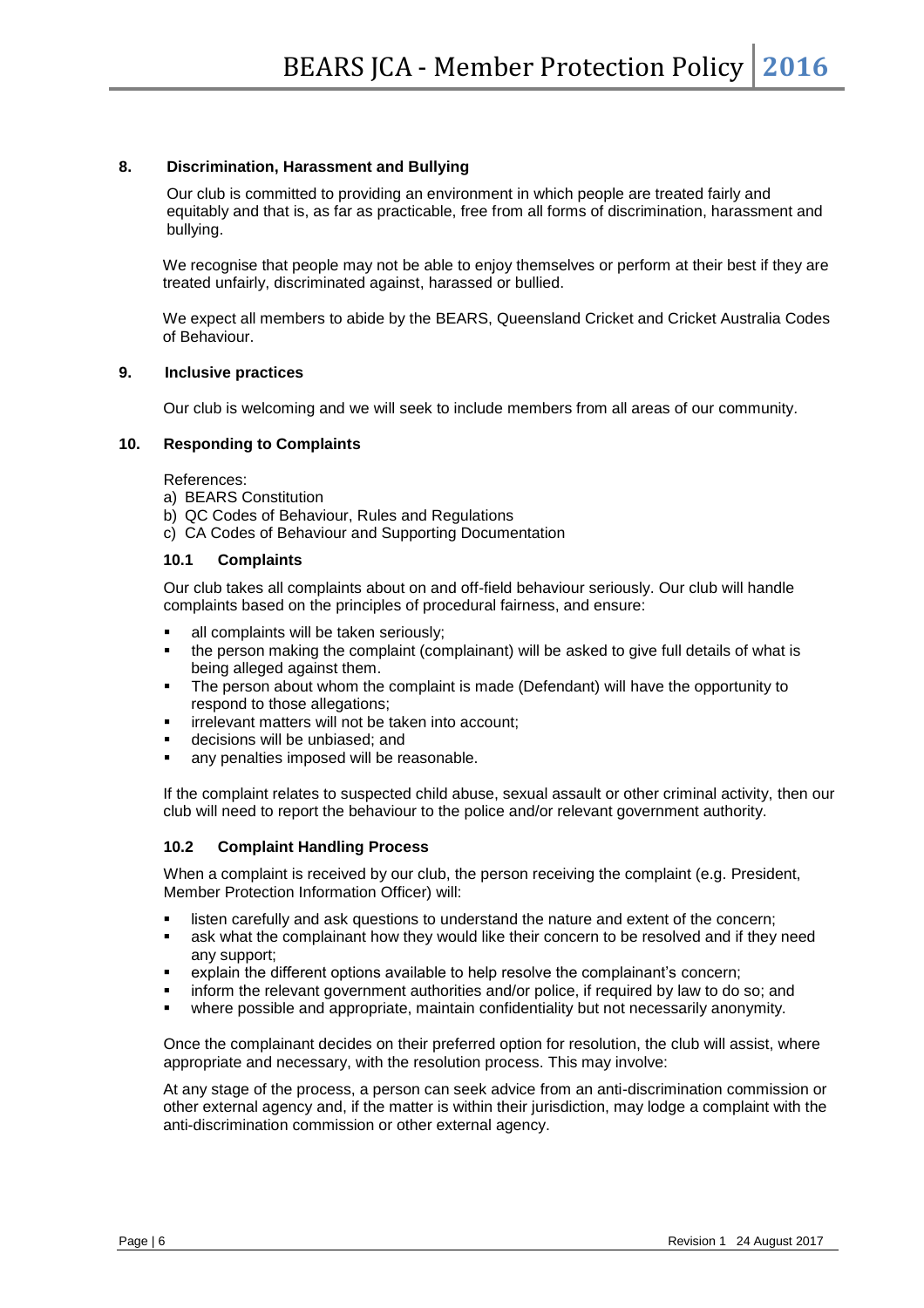#### **8. Discrimination, Harassment and Bullying**

Our club is committed to providing an environment in which people are treated fairly and equitably and that is, as far as practicable, free from all forms of discrimination, harassment and bullying.

We recognise that people may not be able to enjoy themselves or perform at their best if they are treated unfairly, discriminated against, harassed or bullied.

We expect all members to abide by the BEARS, Queensland Cricket and Cricket Australia Codes of Behaviour.

#### **9.****Inclusive practices**

Our club is welcoming and we will seek to include members from all areas of our community*.* 

#### **10. Responding to Complaints**

References:

- a) BEARS Constitution
- b) QC Codes of Behaviour, Rules and Regulations
- c) CA Codes of Behaviour and Supporting Documentation

#### **10.1 Complaints**

Our club takes all complaints about on and off-field behaviour seriously. Our club will handle complaints based on the principles of procedural fairness, and ensure:

- all complaints will be taken seriously;
- the person making the complaint (complainant) will be asked to give full details of what is being alleged against them.
- **•** The person about whom the complaint is made (Defendant) will have the opportunity to respond to those allegations;
- **·** irrelevant matters will not be taken into account;
- decisions will be unbiased; and
- any penalties imposed will be reasonable.

If the complaint relates to suspected child abuse, sexual assault or other criminal activity, then our club will need to report the behaviour to the police and/or relevant government authority.

#### **10.2 Complaint Handling Process**

When a complaint is received by our club, the person receiving the complaint (e.g. President, Member Protection Information Officer) will:

- **.** listen carefully and ask questions to understand the nature and extent of the concern;
- ask what the complainant how they would like their concern to be resolved and if they need any support;
- explain the different options available to help resolve the complainant's concern;
- inform the relevant government authorities and/or police, if required by law to do so; and
- where possible and appropriate, maintain confidentiality but not necessarily anonymity.

Once the complainant decides on their preferred option for resolution, the club will assist, where appropriate and necessary, with the resolution process. This may involve:

At any stage of the process, a person can seek advice from an anti-discrimination commission or other external agency and, if the matter is within their jurisdiction, may lodge a complaint with the anti-discrimination commission or other external agency.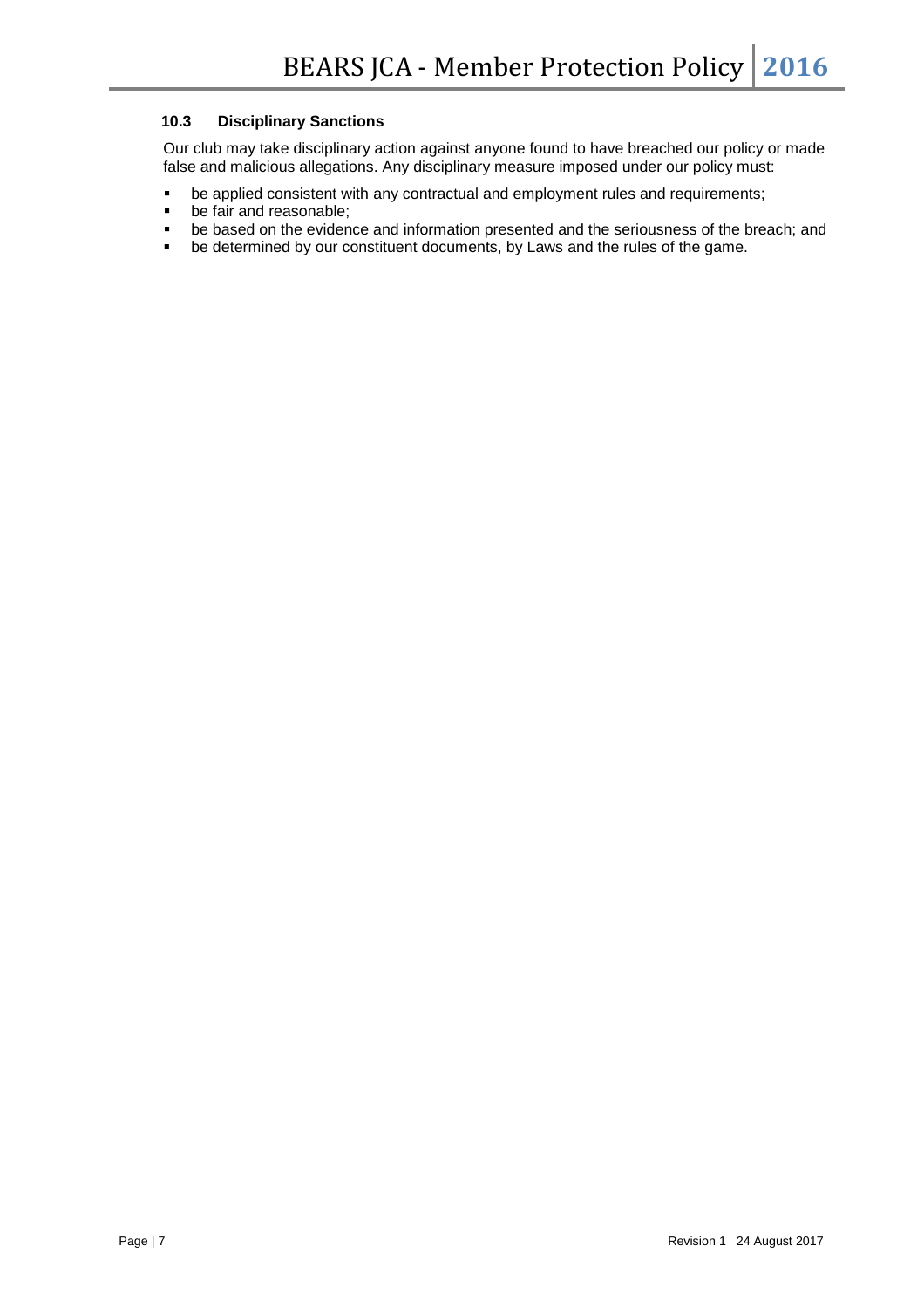#### **10.3 Disciplinary Sanctions**

Our club may take disciplinary action against anyone found to have breached our policy or made false and malicious allegations. Any disciplinary measure imposed under our policy must:

- be applied consistent with any contractual and employment rules and requirements;<br>■ be fair and reasonable:
- be fair and reasonable;
- be based on the evidence and information presented and the seriousness of the breach; and
- be determined by our constituent documents, by Laws and the rules of the game.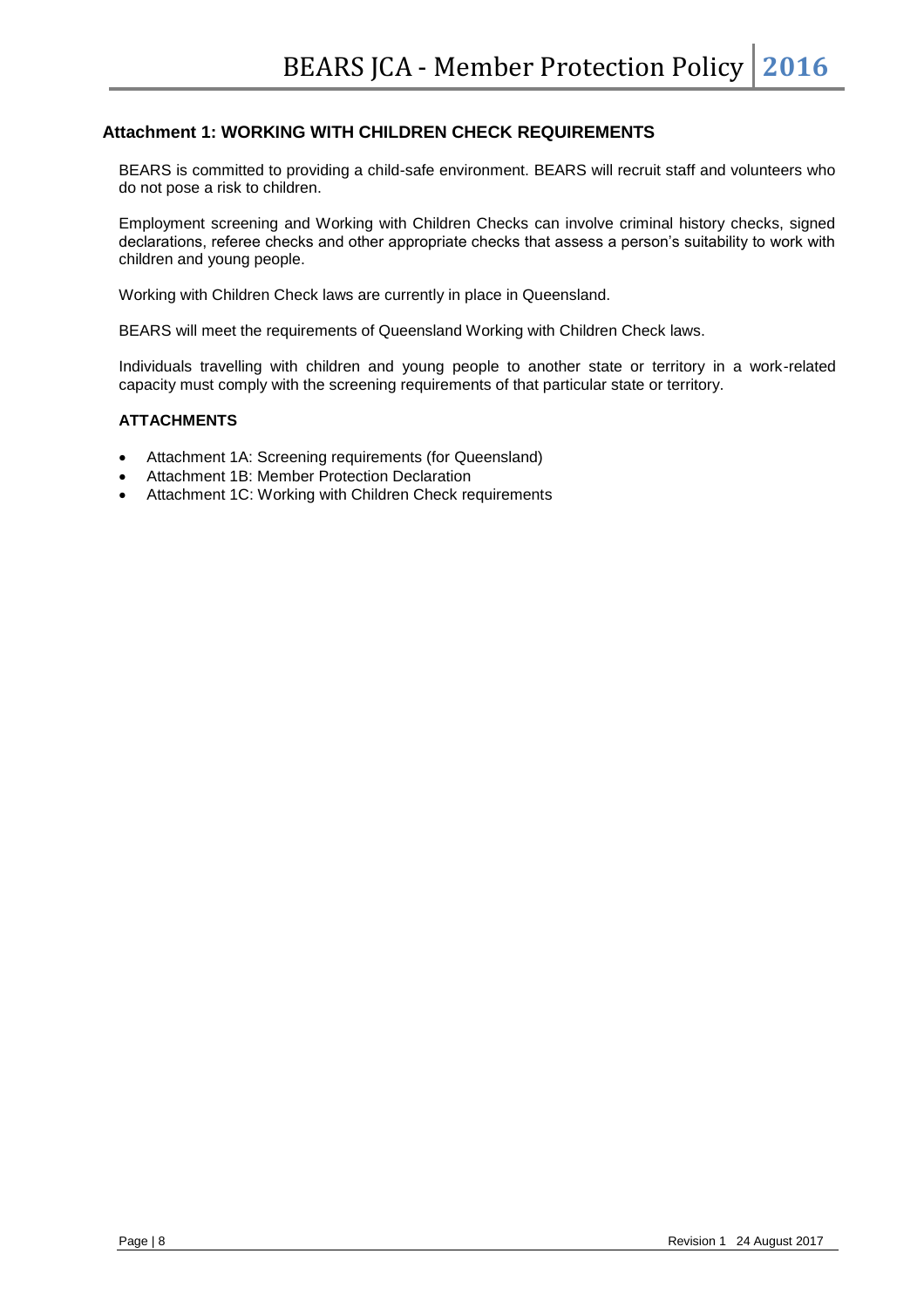#### **Attachment 1: WORKING WITH CHILDREN CHECK REQUIREMENTS**

BEARS is committed to providing a child-safe environment. BEARS will recruit staff and volunteers who do not pose a risk to children.

Employment screening and Working with Children Checks can involve criminal history checks, signed declarations, referee checks and other appropriate checks that assess a person's suitability to work with children and young people.

Working with Children Check laws are currently in place in Queensland.

BEARS will meet the requirements of Queensland Working with Children Check laws.

Individuals travelling with children and young people to another state or territory in a work-related capacity must comply with the screening requirements of that particular state or territory.

#### **ATTACHMENTS**

- Attachment 1A: Screening requirements (for Queensland)
- Attachment 1B: Member Protection Declaration
- Attachment 1C: Working with Children Check requirements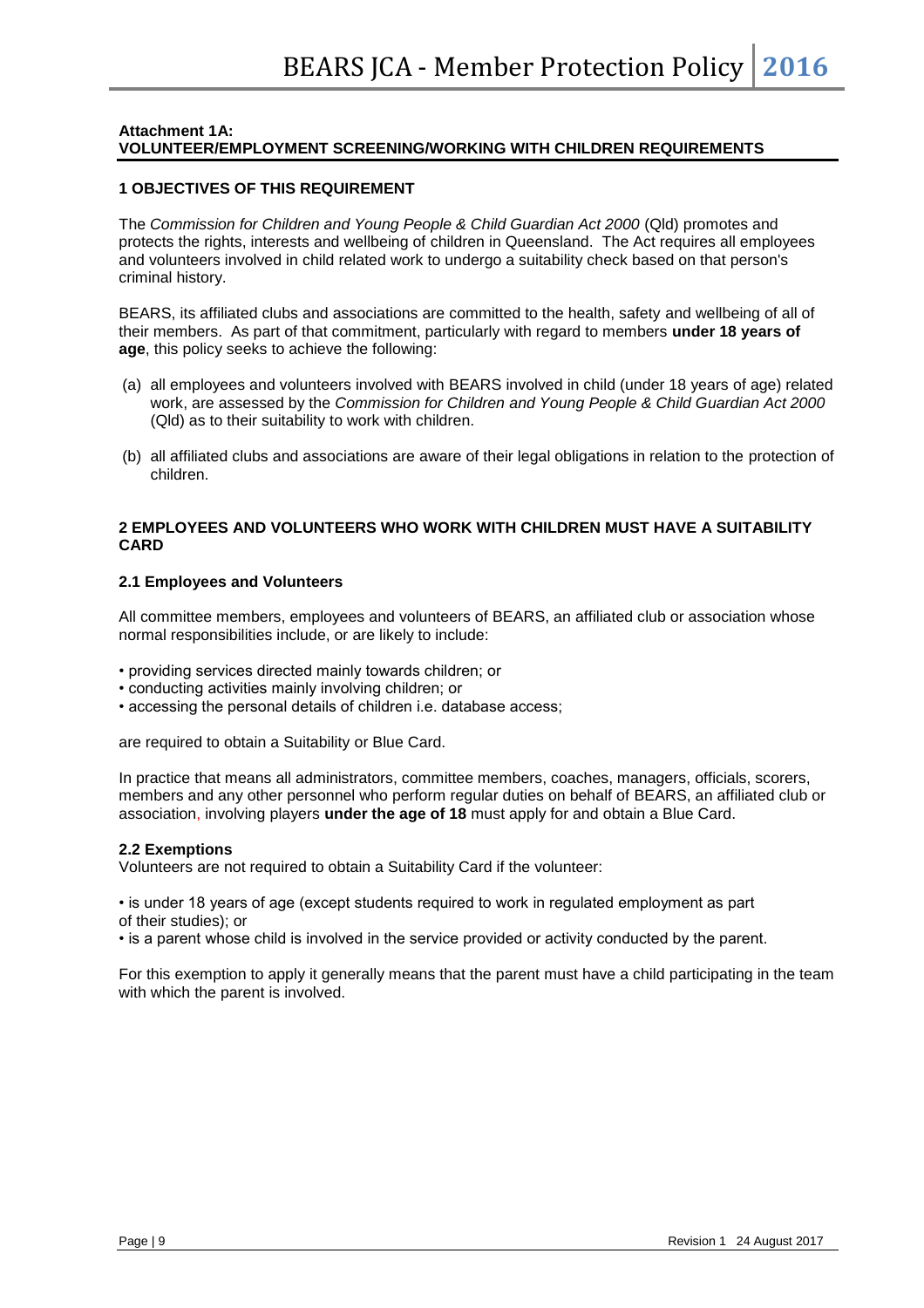#### **Attachment 1A: VOLUNTEER/EMPLOYMENT SCREENING/WORKING WITH CHILDREN REQUIREMENTS**

#### **1 OBJECTIVES OF THIS REQUIREMENT**

The *Commission for Children and Young People & Child Guardian Act 2000* (Qld) promotes and protects the rights, interests and wellbeing of children in Queensland. The Act requires all employees and volunteers involved in child related work to undergo a suitability check based on that person's criminal history.

BEARS, its affiliated clubs and associations are committed to the health, safety and wellbeing of all of their members. As part of that commitment, particularly with regard to members **under 18 years of age**, this policy seeks to achieve the following:

- (a) all employees and volunteers involved with BEARS involved in child (under 18 years of age) related work, are assessed by the *Commission for Children and Young People & Child Guardian Act 2000*  (Qld) as to their suitability to work with children.
- (b) all affiliated clubs and associations are aware of their legal obligations in relation to the protection of children.

#### **2 EMPLOYEES AND VOLUNTEERS WHO WORK WITH CHILDREN MUST HAVE A SUITABILITY CARD**

#### **2.1 Employees and Volunteers**

All committee members, employees and volunteers of BEARS, an affiliated club or association whose normal responsibilities include, or are likely to include:

- providing services directed mainly towards children; or
- conducting activities mainly involving children; or
- accessing the personal details of children i.e. database access;

are required to obtain a Suitability or Blue Card.

In practice that means all administrators, committee members, coaches, managers, officials, scorers, members and any other personnel who perform regular duties on behalf of BEARS, an affiliated club or association, involving players **under the age of 18** must apply for and obtain a Blue Card.

#### **2.2 Exemptions**

Volunteers are not required to obtain a Suitability Card if the volunteer:

• is under 18 years of age (except students required to work in regulated employment as part of their studies); or

• is a parent whose child is involved in the service provided or activity conducted by the parent.

For this exemption to apply it generally means that the parent must have a child participating in the team with which the parent is involved.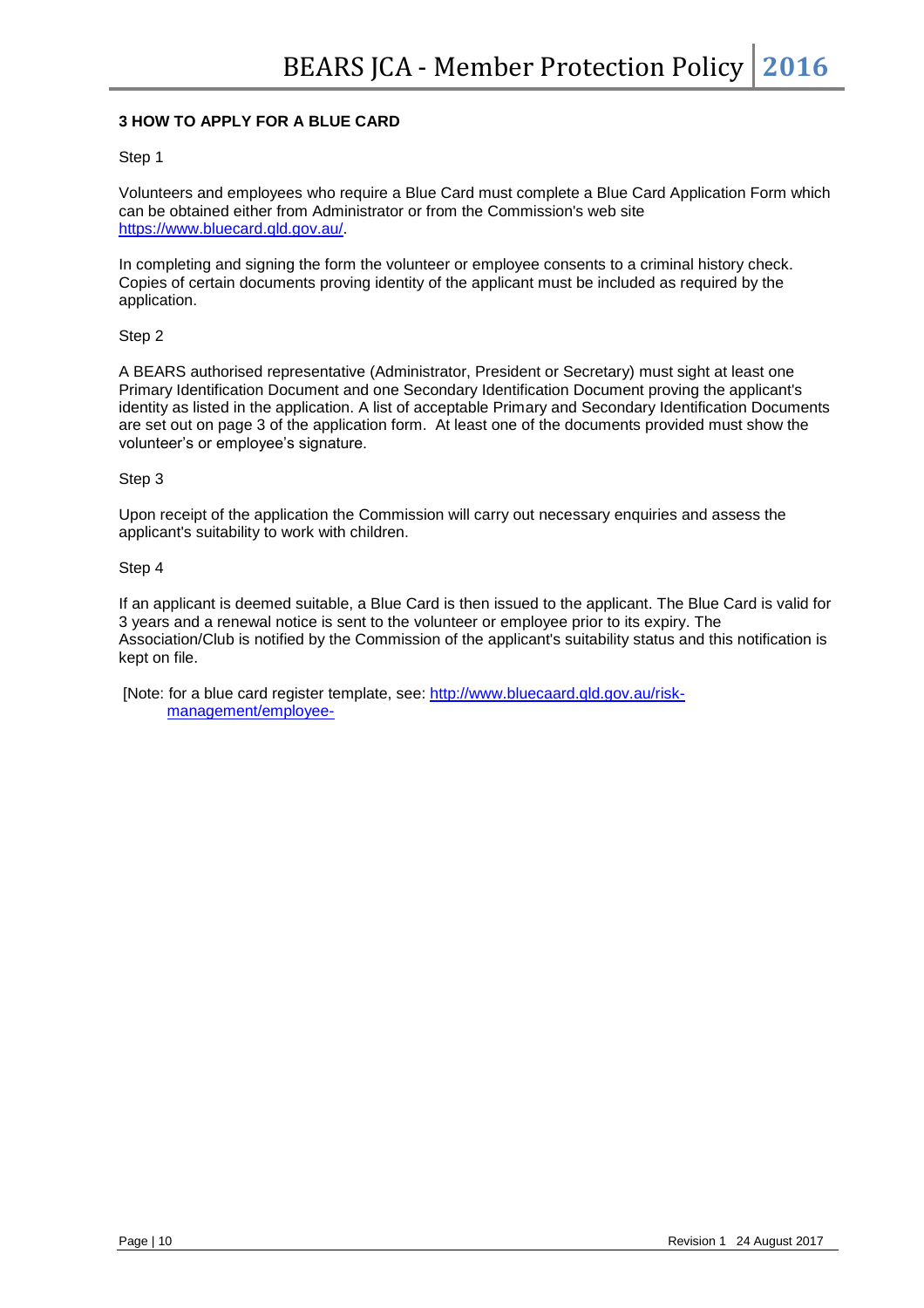#### **3 HOW TO APPLY FOR A BLUE CARD**

#### Step 1

Volunteers and employees who require a Blue Card must complete a Blue Card Application Form which can be obtained either from Administrator or from the Commission's web site [https://www.bluecard.qld.gov.au/.](https://www.bluecard.qld.gov.au/)

In completing and signing the form the volunteer or employee consents to a criminal history check. Copies of certain documents proving identity of the applicant must be included as required by the application.

Step 2

A BEARS authorised representative (Administrator, President or Secretary) must sight at least one Primary Identification Document and one Secondary Identification Document proving the applicant's identity as listed in the application. A list of acceptable Primary and Secondary Identification Documents are set out on page 3 of the application form. At least one of the documents provided must show the volunteer's or employee's signature.

Step 3

Upon receipt of the application the Commission will carry out necessary enquiries and assess the applicant's suitability to work with children.

Step 4

If an applicant is deemed suitable, a Blue Card is then issued to the applicant. The Blue Card is valid for 3 years and a renewal notice is sent to the volunteer or employee prior to its expiry. The Association/Club is notified by the Commission of the applicant's suitability status and this notification is kept on file.

[Note: for a blue card register template, see: [http://www.bluecaard.qld.gov.au/risk](http://www.bluecaard.qld.gov.au/risk-management/employee-)[management/employee-](http://www.bluecaard.qld.gov.au/risk-management/employee-)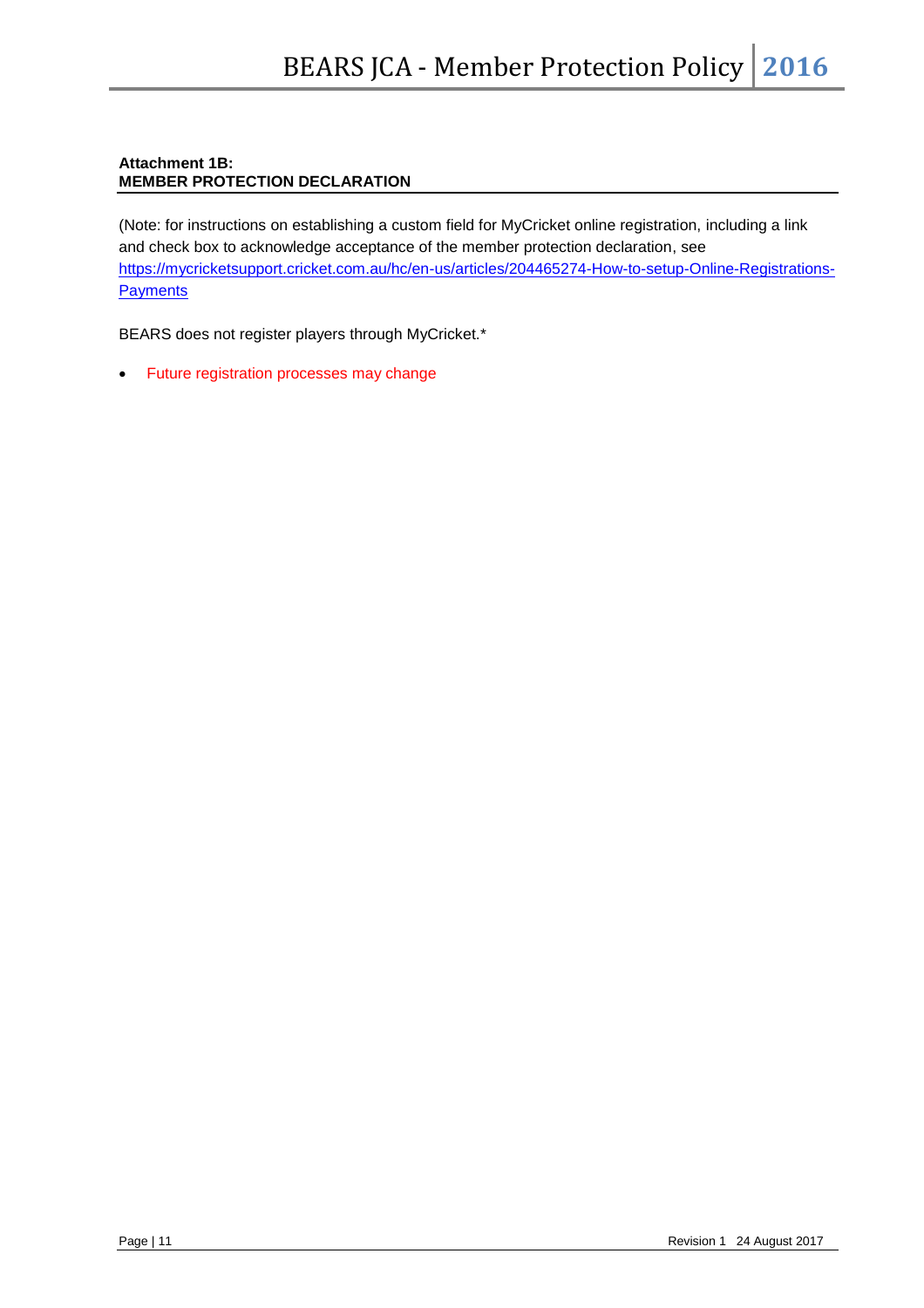#### **Attachment 1B: MEMBER PROTECTION DECLARATION**

(Note: for instructions on establishing a custom field for MyCricket online registration, including a link and check box to acknowledge acceptance of the member protection declaration, see [https://mycricketsupport.cricket.com.au/hc/en-us/articles/204465274-How-to-setup-Online-Registrations-](https://mycricketsupport.cricket.com.au/hc/en-us/articles/204465274-How-to-setup-Online-Registrations-Payments)**[Payments](https://mycricketsupport.cricket.com.au/hc/en-us/articles/204465274-How-to-setup-Online-Registrations-Payments)** 

BEARS does not register players through MyCricket.\*

• Future registration processes may change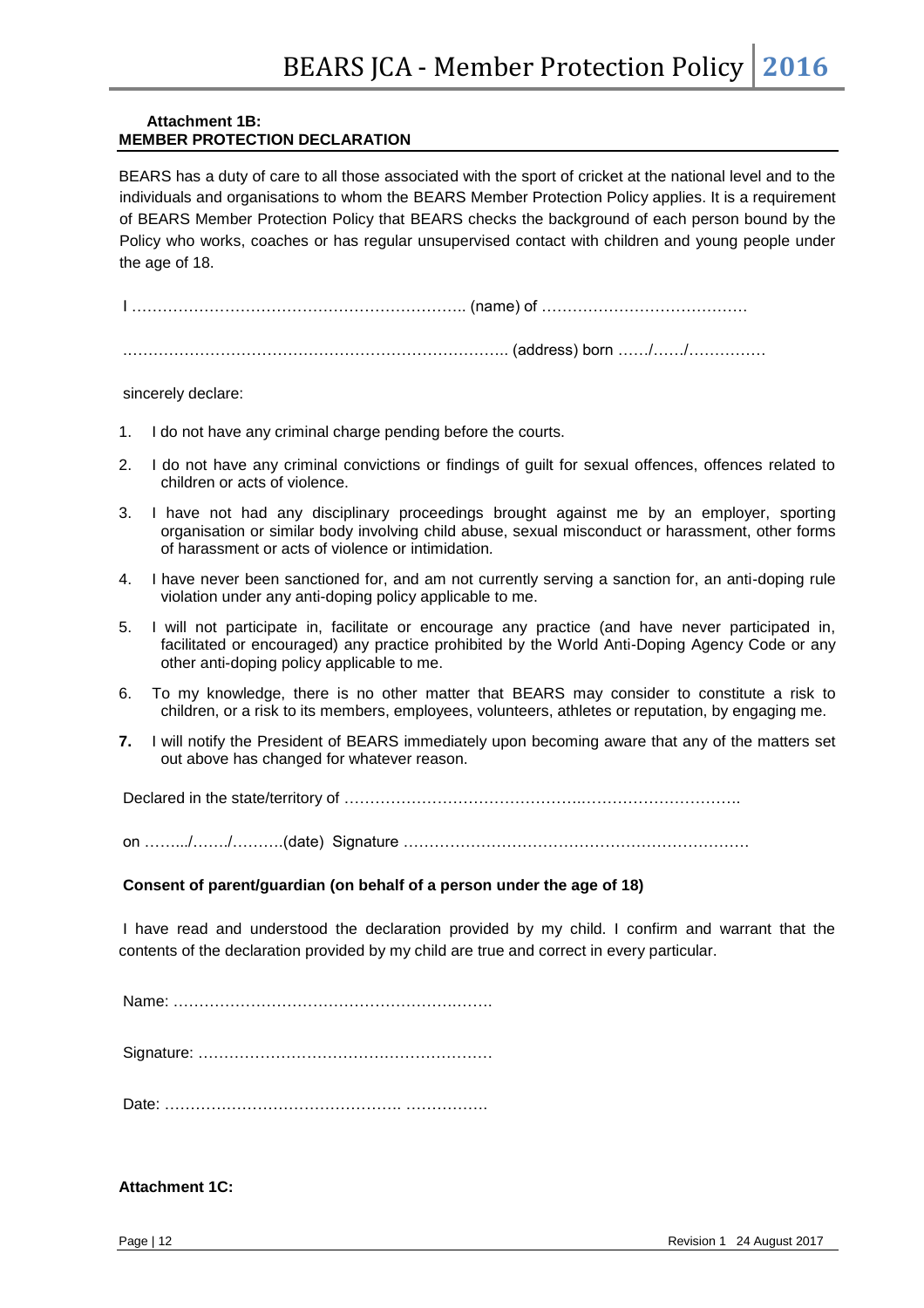#### **Attachment 1B: MEMBER PROTECTION DECLARATION**

BEARS has a duty of care to all those associated with the sport of cricket at the national level and to the individuals and organisations to whom the BEARS Member Protection Policy applies. It is a requirement of BEARS Member Protection Policy that BEARS checks the background of each person bound by the Policy who works, coaches or has regular unsupervised contact with children and young people under the age of 18.

I ……………………………………………………….. (name) of ………………………………….

.……………………………………………………………….. (address) born ……/……/……………

sincerely declare:

- 1. I do not have any criminal charge pending before the courts.
- 2. I do not have any criminal convictions or findings of guilt for sexual offences, offences related to children or acts of violence.
- 3. I have not had any disciplinary proceedings brought against me by an employer, sporting organisation or similar body involving child abuse, sexual misconduct or harassment, other forms of harassment or acts of violence or intimidation*.*
- 4. I have never been sanctioned for, and am not currently serving a sanction for, an anti-doping rule violation under any anti-doping policy applicable to me.
- 5. I will not participate in, facilitate or encourage any practice (and have never participated in, facilitated or encouraged) any practice prohibited by the World Anti-Doping Agency Code or any other anti-doping policy applicable to me.
- 6. To my knowledge, there is no other matter that BEARS may consider to constitute a risk to children, or a risk to its members, employees, volunteers, athletes or reputation, by engaging me.
- **7.** I will notify the President of BEARS immediately upon becoming aware that any of the matters set out above has changed for whatever reason.

Declared in the state/territory of ……………………………………….………………………….

on …….../……./……….(date) Signature ………………………………………………………….

#### **Consent of parent/guardian (on behalf of a person under the age of 18)**

I have read and understood the declaration provided by my child. I confirm and warrant that the contents of the declaration provided by my child are true and correct in every particular.

Name: ……………………………………………….…….

Signature: …………………………………………………

Date: ………………………………………. …………….

**Attachment 1C:**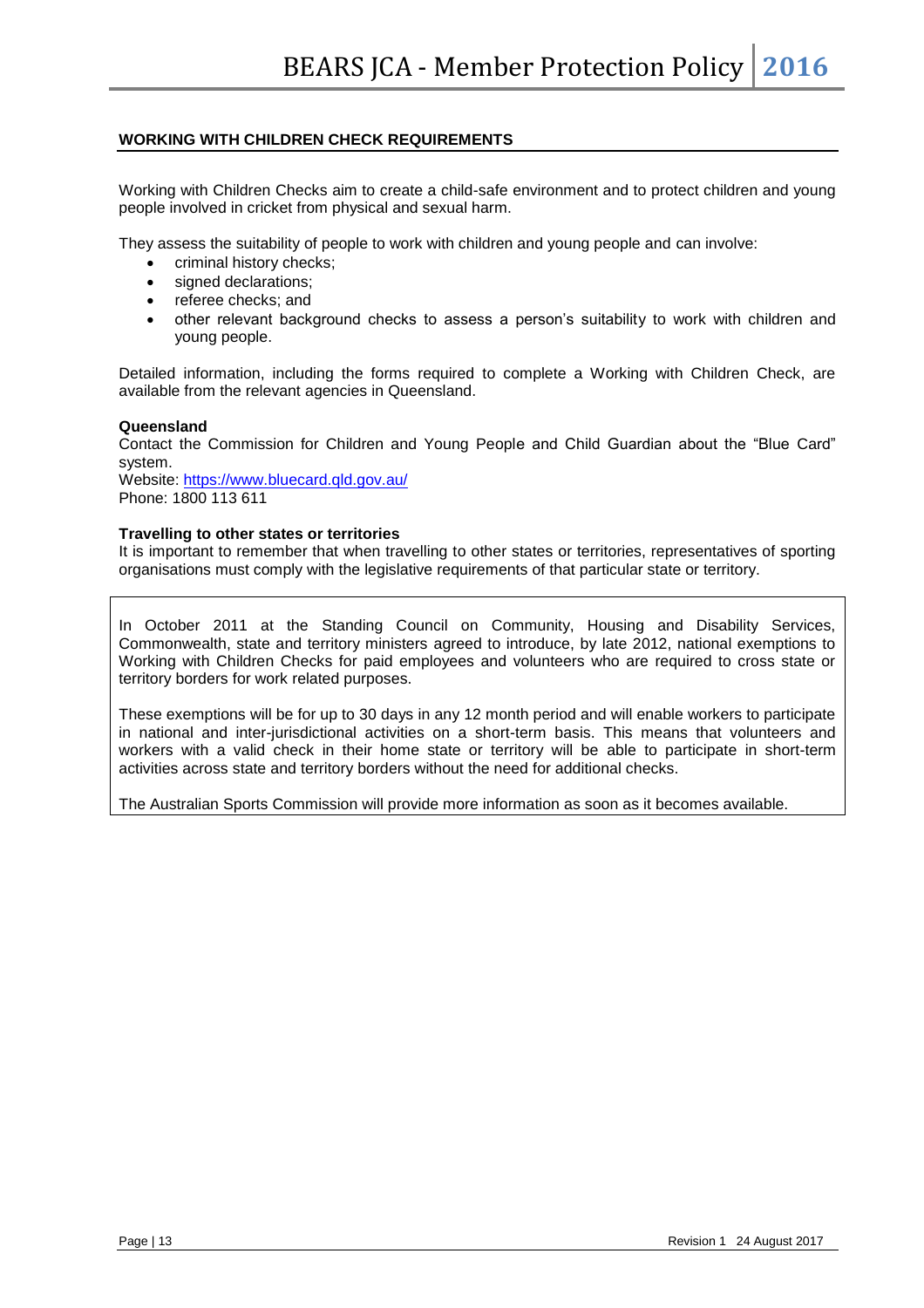#### **WORKING WITH CHILDREN CHECK REQUIREMENTS**

Working with Children Checks aim to create a child-safe environment and to protect children and young people involved in cricket from physical and sexual harm.

They assess the suitability of people to work with children and young people and can involve:

- criminal history checks;
- signed declarations;
- referee checks; and
- other relevant background checks to assess a person's suitability to work with children and young people.

Detailed information, including the forms required to complete a Working with Children Check, are available from the relevant agencies in Queensland.

#### **Queensland**

Contact the Commission for Children and Young People and Child Guardian about the "Blue Card" system.

Website:<https://www.bluecard.qld.gov.au/> Phone: 1800 113 611

#### **Travelling to other states or territories**

It is important to remember that when travelling to other states or territories, representatives of sporting organisations must comply with the legislative requirements of that particular state or territory.

In October 2011 at the Standing Council on Community, Housing and Disability Services, Commonwealth, state and territory ministers agreed to introduce, by late 2012, national exemptions to Working with Children Checks for paid employees and volunteers who are required to cross state or territory borders for work related purposes.

These exemptions will be for up to 30 days in any 12 month period and will enable workers to participate in national and inter-jurisdictional activities on a short-term basis. This means that volunteers and workers with a valid check in their home state or territory will be able to participate in short-term activities across state and territory borders without the need for additional checks.

The Australian Sports Commission will provide more information as soon as it becomes available.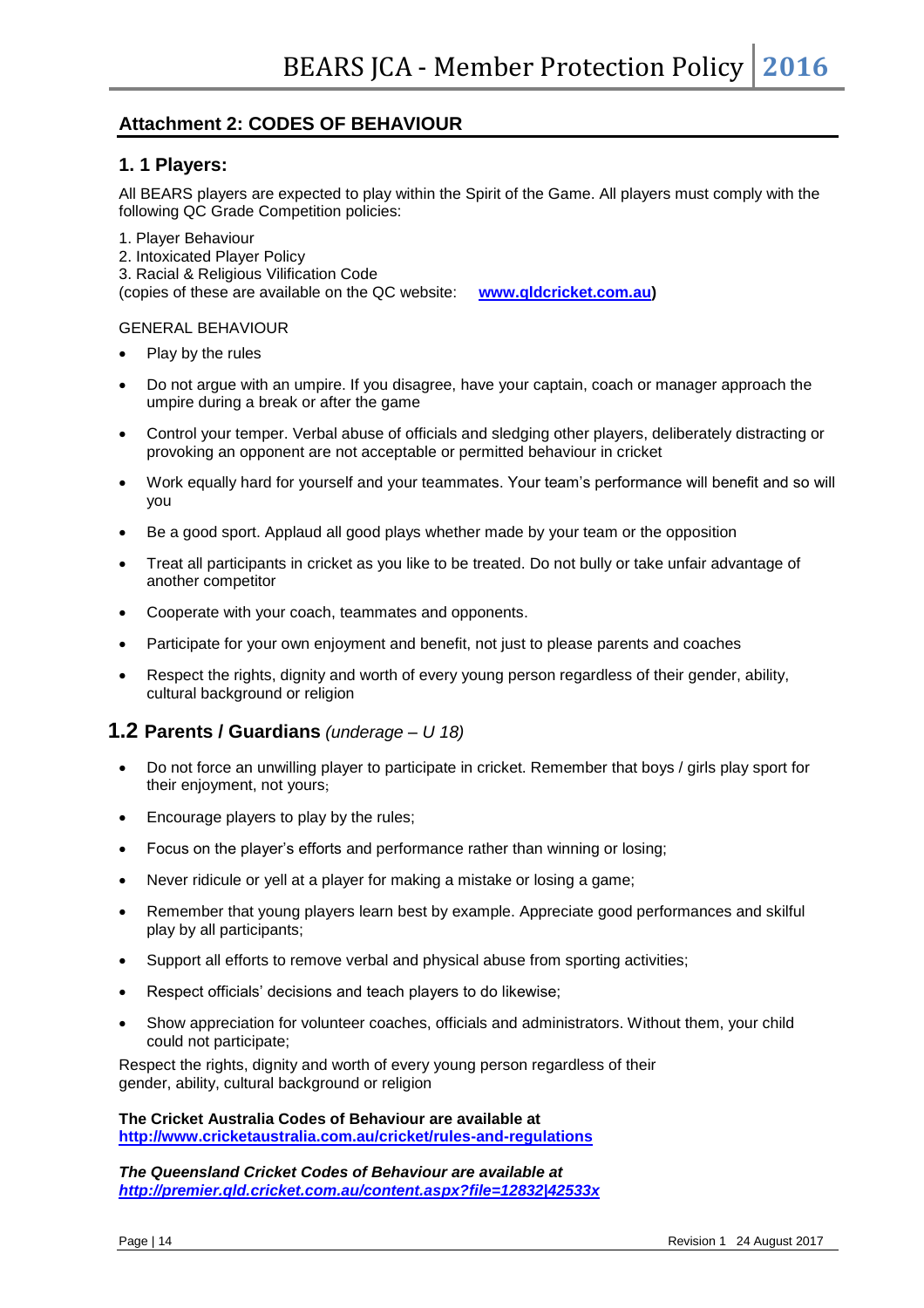## **Attachment 2: CODES OF BEHAVIOUR**

#### **1. 1 Players:**

All BEARS players are expected to play within the Spirit of the Game. All players must comply with the following QC Grade Competition policies:

1. Player Behaviour

- 2. Intoxicated Player Policy
- 3. Racial & Religious Vilification Code

(copies of these are available on the QC website: **[www.qldcricket.com.au\)](http://www.qldcricket.com.au/)**

#### GENERAL BEHAVIOUR

- Play by the rules
- Do not argue with an umpire. If you disagree, have your captain, coach or manager approach the umpire during a break or after the game
- Control your temper. Verbal abuse of officials and sledging other players, deliberately distracting or provoking an opponent are not acceptable or permitted behaviour in cricket
- Work equally hard for yourself and your teammates. Your team's performance will benefit and so will you
- Be a good sport. Applaud all good plays whether made by your team or the opposition
- Treat all participants in cricket as you like to be treated. Do not bully or take unfair advantage of another competitor
- Cooperate with your coach, teammates and opponents.
- Participate for your own enjoyment and benefit, not just to please parents and coaches
- Respect the rights, dignity and worth of every young person regardless of their gender, ability, cultural background or religion

### **1.2 Parents / Guardians** *(underage – U 18)*

- Do not force an unwilling player to participate in cricket. Remember that boys / girls play sport for their enjoyment, not yours;
- Encourage players to play by the rules;
- Focus on the player's efforts and performance rather than winning or losing;
- Never ridicule or yell at a player for making a mistake or losing a game;
- Remember that young players learn best by example. Appreciate good performances and skilful play by all participants;
- Support all efforts to remove verbal and physical abuse from sporting activities;
- Respect officials' decisions and teach players to do likewise;
- Show appreciation for volunteer coaches, officials and administrators. Without them, your child could not participate;

Respect the rights, dignity and worth of every young person regardless of their gender, ability, cultural background or religion

**The Cricket Australia Codes of Behaviour are available at <http://www.cricketaustralia.com.au/cricket/rules-and-regulations>**

*The Queensland Cricket Codes of Behaviour are available at <http://premier.qld.cricket.com.au/content.aspx?file=12832|42533x>*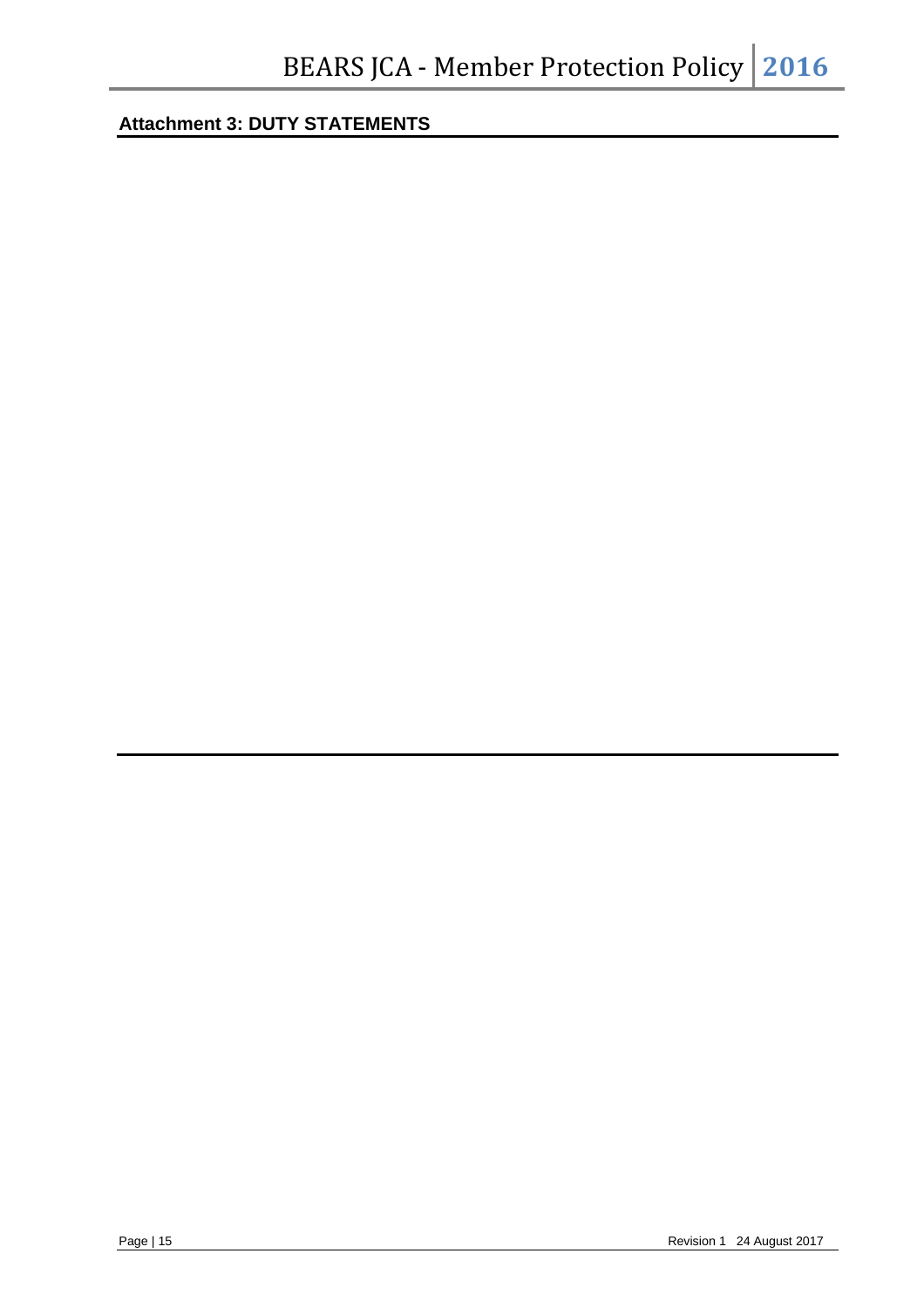# **Attachment 3: DUTY STATEMENTS**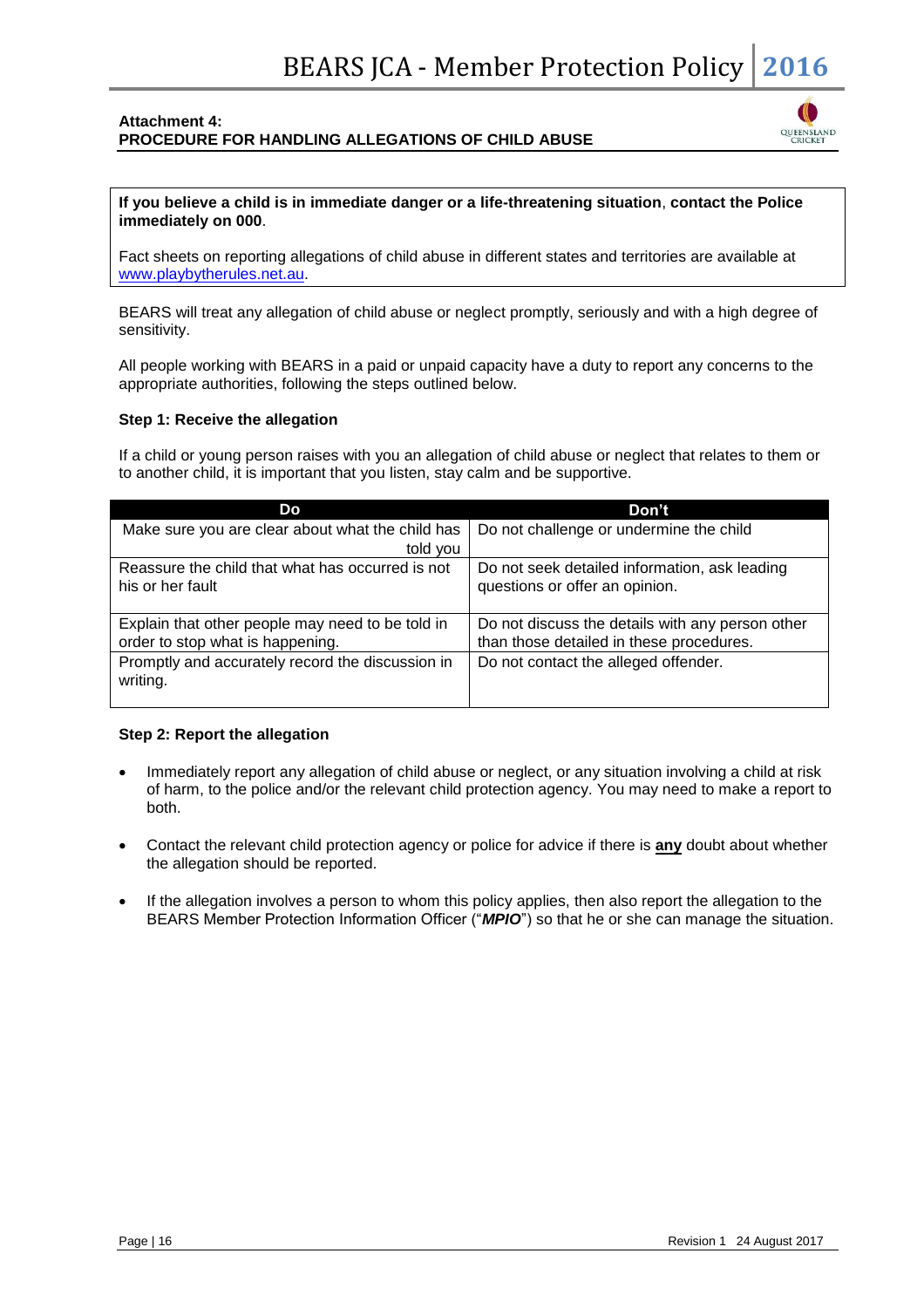#### **Attachment 4: PROCEDURE FOR HANDLING ALLEGATIONS OF CHILD ABUSE**



**If you believe a child is in immediate danger or a life-threatening situation**, **contact the Police immediately on 000**.

Fact sheets on reporting allegations of child abuse in different states and territories are available at [www.playbytherules.net.au.](http://www.playbytherules.net.au/)

BEARS will treat any allegation of child abuse or neglect promptly, seriously and with a high degree of sensitivity.

All people working with BEARS in a paid or unpaid capacity have a duty to report any concerns to the appropriate authorities, following the steps outlined below.

#### **Step 1: Receive the allegation**

If a child or young person raises with you an allegation of child abuse or neglect that relates to them or to another child, it is important that you listen, stay calm and be supportive.

| Do                                               | Don't                                            |
|--------------------------------------------------|--------------------------------------------------|
| Make sure you are clear about what the child has | Do not challenge or undermine the child          |
| told you                                         |                                                  |
| Reassure the child that what has occurred is not | Do not seek detailed information, ask leading    |
| his or her fault                                 | questions or offer an opinion.                   |
|                                                  |                                                  |
| Explain that other people may need to be told in | Do not discuss the details with any person other |
| order to stop what is happening.                 | than those detailed in these procedures.         |
| Promptly and accurately record the discussion in | Do not contact the alleged offender.             |
| writing.                                         |                                                  |
|                                                  |                                                  |

#### **Step 2: Report the allegation**

- Immediately report any allegation of child abuse or neglect, or any situation involving a child at risk of harm, to the police and/or the relevant child protection agency. You may need to make a report to both.
- Contact the relevant child protection agency or police for advice if there is **any** doubt about whether the allegation should be reported.
- If the allegation involves a person to whom this policy applies, then also report the allegation to the BEARS Member Protection Information Officer ("*MPIO*") so that he or she can manage the situation.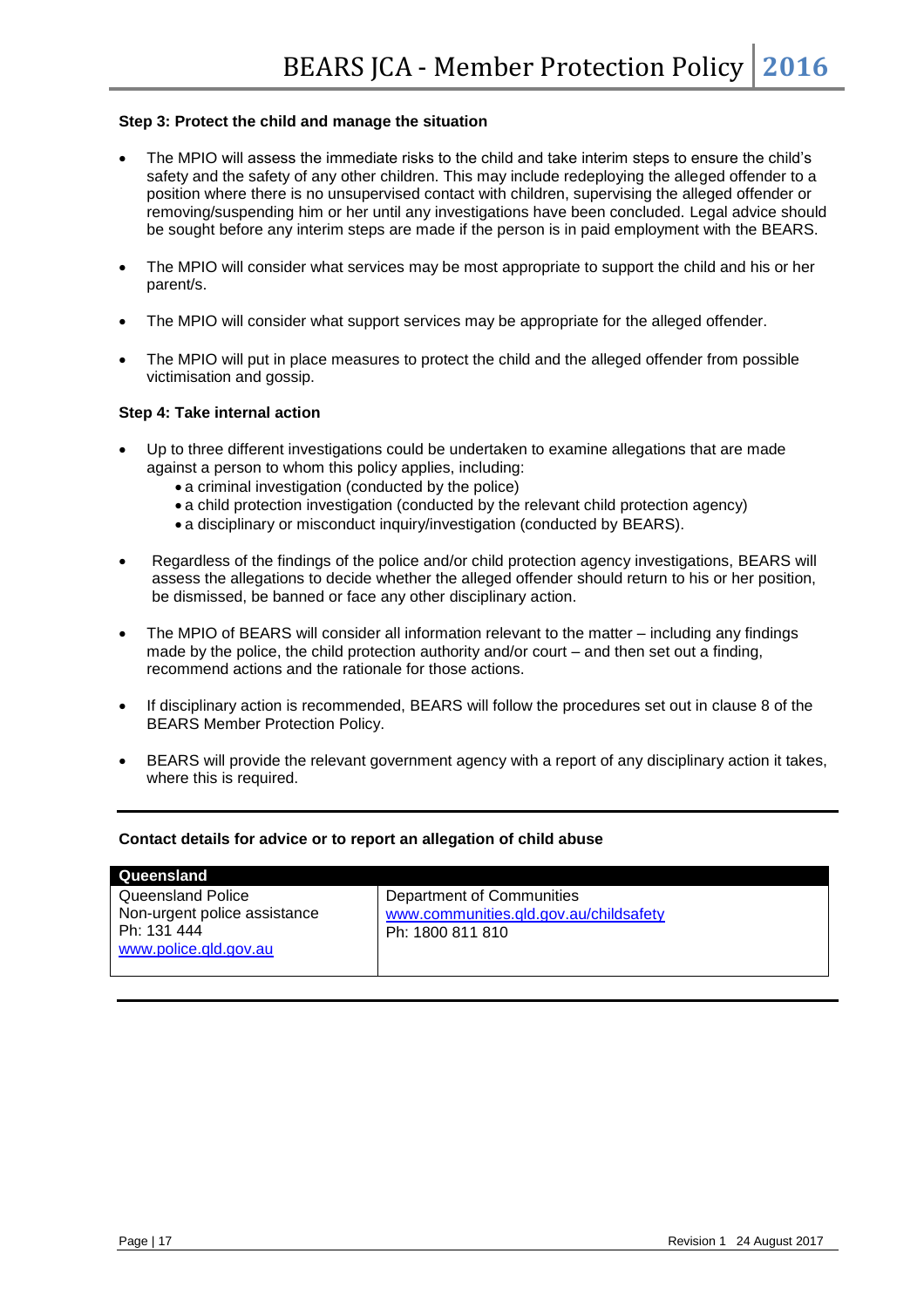#### **Step 3: Protect the child and manage the situation**

- The MPIO will assess the immediate risks to the child and take interim steps to ensure the child's safety and the safety of any other children. This may include redeploying the alleged offender to a position where there is no unsupervised contact with children, supervising the alleged offender or removing/suspending him or her until any investigations have been concluded. Legal advice should be sought before any interim steps are made if the person is in paid employment with the BEARS.
- The MPIO will consider what services may be most appropriate to support the child and his or her parent/s.
- The MPIO will consider what support services may be appropriate for the alleged offender.
- The MPIO will put in place measures to protect the child and the alleged offender from possible victimisation and gossip.

#### **Step 4: Take internal action**

- Up to three different investigations could be undertaken to examine allegations that are made against a person to whom this policy applies, including:
	- a criminal investigation (conducted by the police)
	- a child protection investigation (conducted by the relevant child protection agency)
	- a disciplinary or misconduct inquiry/investigation (conducted by BEARS).
- Regardless of the findings of the police and/or child protection agency investigations, BEARS will assess the allegations to decide whether the alleged offender should return to his or her position, be dismissed, be banned or face any other disciplinary action.
- The MPIO of BEARS will consider all information relevant to the matter including any findings made by the police, the child protection authority and/or court – and then set out a finding, recommend actions and the rationale for those actions.
- If disciplinary action is recommended, BEARS will follow the procedures set out in clause 8 of the BEARS Member Protection Policy.
- BEARS will provide the relevant government agency with a report of any disciplinary action it takes, where this is required.

#### **Contact details for advice or to report an allegation of child abuse**

| Department of Communities                                  |
|------------------------------------------------------------|
| www.communities.gld.gov.au/childsafety<br>Ph: 1800 811 810 |
|                                                            |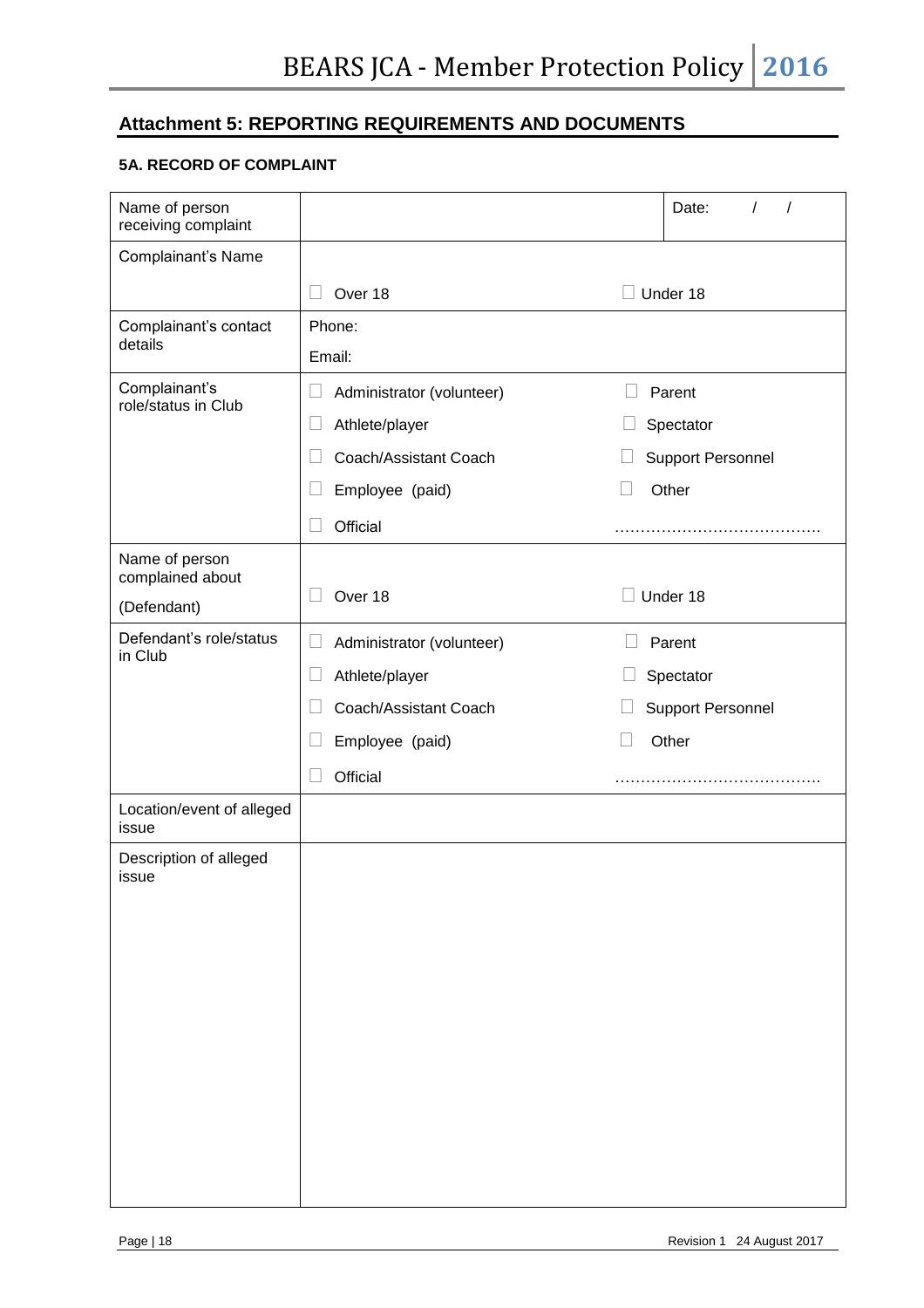## **Attachment 5: REPORTING REQUIREMENTS AND DOCUMENTS**

## **5A. RECORD OF COMPLAINT**

| Name of person<br>receiving complaint |                                     |        | Date:                    |  |
|---------------------------------------|-------------------------------------|--------|--------------------------|--|
| Complainant's Name                    |                                     |        |                          |  |
|                                       | Over 18<br>$\vert \ \ \vert$        |        | Under 18                 |  |
| Complainant's contact<br>details      | Phone:                              |        |                          |  |
|                                       | Email:                              |        |                          |  |
| Complainant's<br>role/status in Club  | Administrator (volunteer)<br>L      | Parent |                          |  |
|                                       | Athlete/player<br>Ц                 |        | Spectator                |  |
|                                       | Coach/Assistant Coach               |        | <b>Support Personnel</b> |  |
|                                       | Employee (paid)                     |        | Other                    |  |
|                                       | Official                            |        |                          |  |
| Name of person<br>complained about    |                                     |        |                          |  |
| (Defendant)                           | Over 18                             |        | Under 18                 |  |
| Defendant's role/status               | Administrator (volunteer)<br>$\Box$ |        | Parent                   |  |
| in Club                               | Athlete/player<br>$\Box$            |        | Spectator                |  |
|                                       | Coach/Assistant Coach               |        | <b>Support Personnel</b> |  |
|                                       | Employee (paid)                     |        | Other                    |  |
|                                       | Official                            |        |                          |  |
| Location/event of alleged<br>issue    |                                     |        |                          |  |
| Description of alleged                |                                     |        |                          |  |
| issue                                 |                                     |        |                          |  |
|                                       |                                     |        |                          |  |
|                                       |                                     |        |                          |  |
|                                       |                                     |        |                          |  |
|                                       |                                     |        |                          |  |
|                                       |                                     |        |                          |  |
|                                       |                                     |        |                          |  |
|                                       |                                     |        |                          |  |
|                                       |                                     |        |                          |  |
|                                       |                                     |        |                          |  |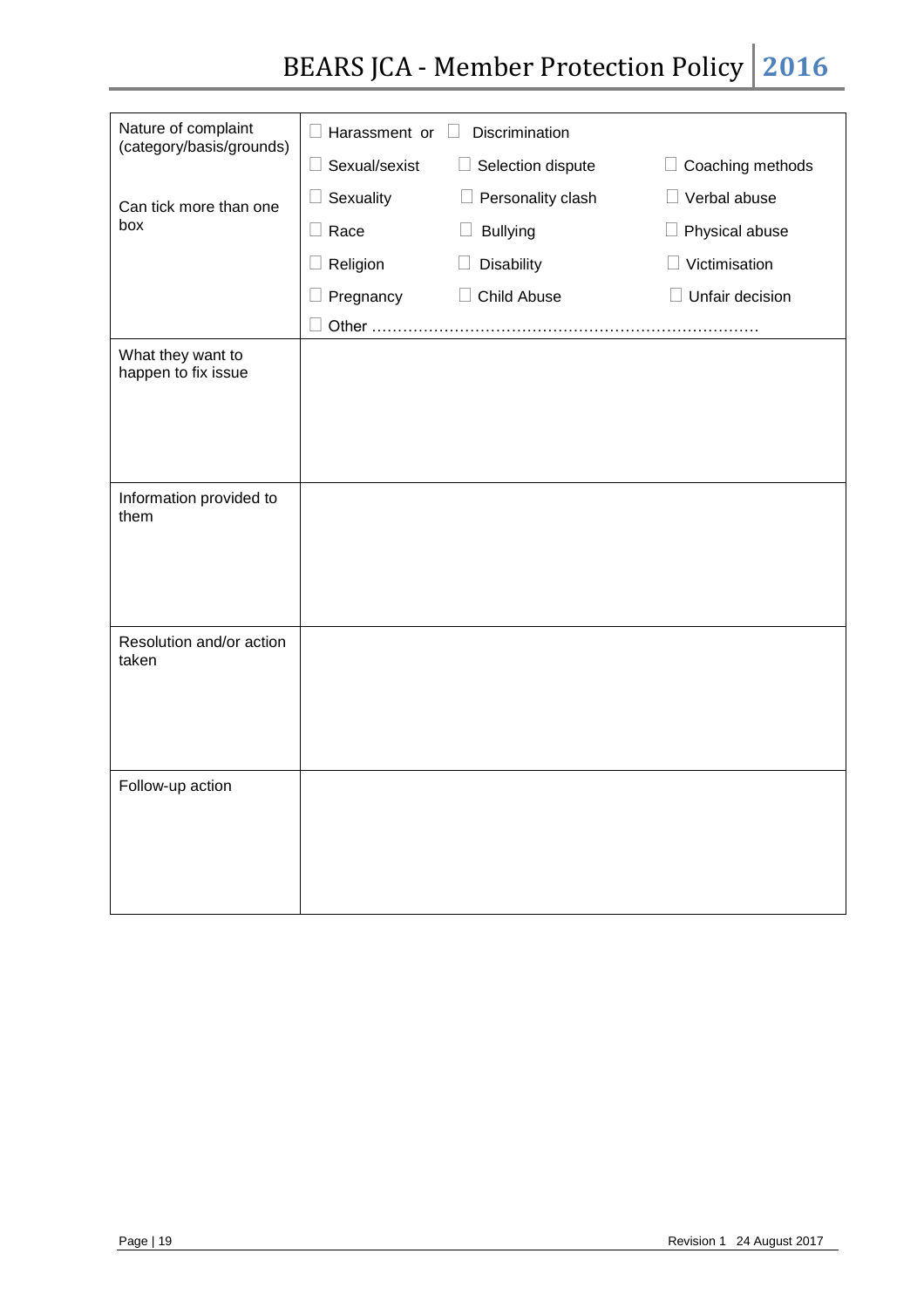# BEARS JCA - Member Protection Policy 2016

| Nature of complaint<br>(category/basis/grounds) | $\Box$ Harassment or $\Box$ | Discrimination            |                                           |
|-------------------------------------------------|-----------------------------|---------------------------|-------------------------------------------|
|                                                 | $\Box$ Sexual/sexist        | $\Box$ Selection dispute  | $\Box$ Coaching methods                   |
| Can tick more than one                          | $\Box$ Sexuality            | $\Box$ Personality clash  | Verbal abuse<br>$\Box$                    |
| box                                             | $\Box$ Race                 | <b>Bullying</b><br>$\Box$ | $\Box$ Physical abuse                     |
|                                                 | $\Box$ Religion             | Disability                | Victimisation<br>$\overline{\phantom{a}}$ |
|                                                 | Pregnancy                   | Child Abuse<br>⊔          | Unfair decision                           |
|                                                 | Other                       |                           |                                           |
| What they want to<br>happen to fix issue        |                             |                           |                                           |
|                                                 |                             |                           |                                           |
|                                                 |                             |                           |                                           |
|                                                 |                             |                           |                                           |
| Information provided to                         |                             |                           |                                           |
| them                                            |                             |                           |                                           |
|                                                 |                             |                           |                                           |
|                                                 |                             |                           |                                           |
|                                                 |                             |                           |                                           |
| Resolution and/or action<br>taken               |                             |                           |                                           |
|                                                 |                             |                           |                                           |
|                                                 |                             |                           |                                           |
|                                                 |                             |                           |                                           |
| Follow-up action                                |                             |                           |                                           |
|                                                 |                             |                           |                                           |
|                                                 |                             |                           |                                           |
|                                                 |                             |                           |                                           |
|                                                 |                             |                           |                                           |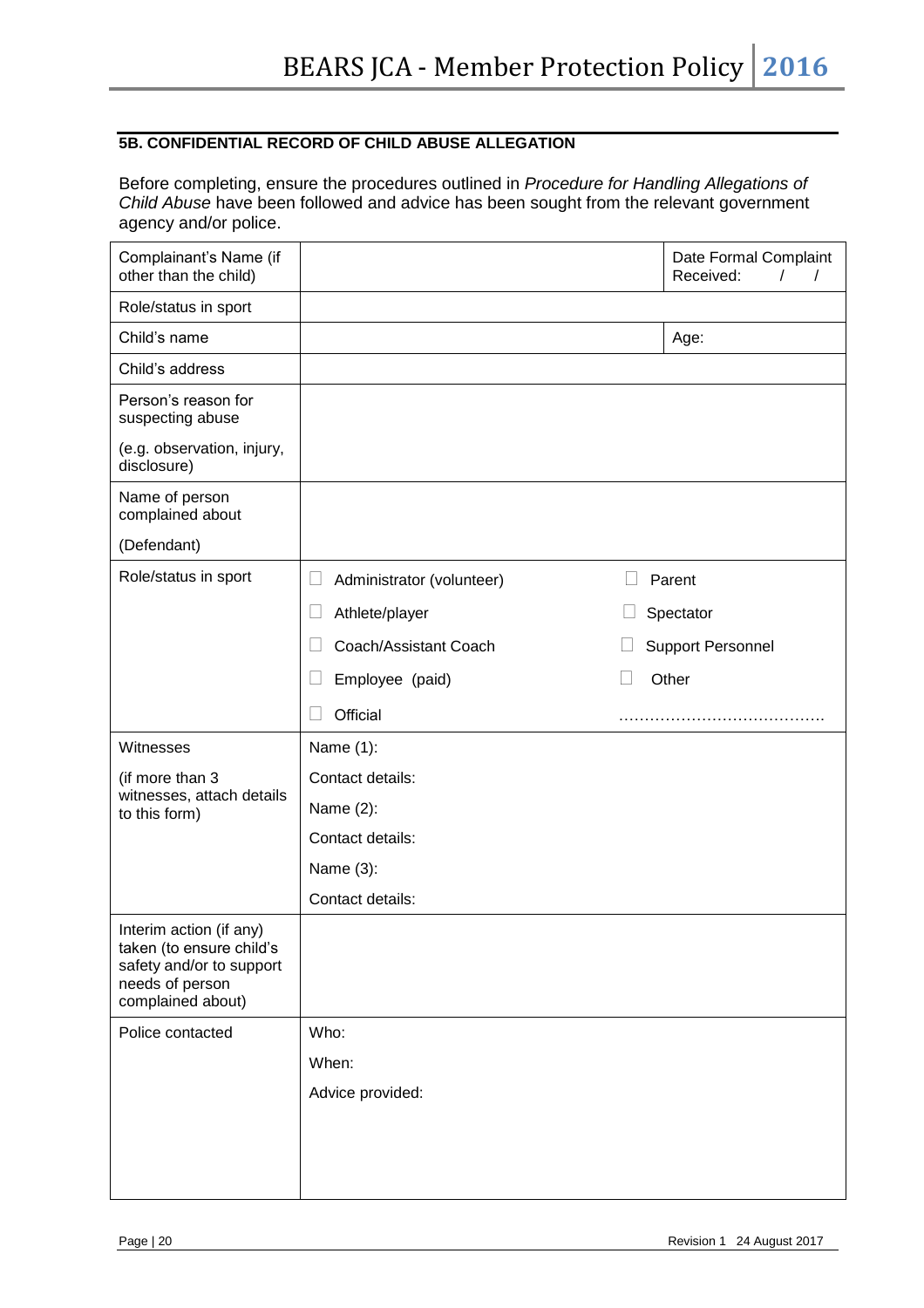#### **5B. CONFIDENTIAL RECORD OF CHILD ABUSE ALLEGATION**

Before completing, ensure the procedures outlined in *Procedure for Handling Allegations of Child Abuse* have been followed and advice has been sought from the relevant government agency and/or police.

| Complainant's Name (if<br>other than the child)                                                                         |                                     | Date Formal Complaint<br>Received:<br>$\sqrt{ }$<br>$\prime$ |
|-------------------------------------------------------------------------------------------------------------------------|-------------------------------------|--------------------------------------------------------------|
| Role/status in sport                                                                                                    |                                     |                                                              |
| Child's name                                                                                                            |                                     | Age:                                                         |
| Child's address                                                                                                         |                                     |                                                              |
| Person's reason for<br>suspecting abuse                                                                                 |                                     |                                                              |
| (e.g. observation, injury,<br>disclosure)                                                                               |                                     |                                                              |
| Name of person<br>complained about                                                                                      |                                     |                                                              |
| (Defendant)                                                                                                             |                                     |                                                              |
| Role/status in sport                                                                                                    | Administrator (volunteer)<br>$\Box$ | Parent                                                       |
|                                                                                                                         | Athlete/player                      | Spectator                                                    |
|                                                                                                                         | Coach/Assistant Coach               | <b>Support Personnel</b>                                     |
|                                                                                                                         | Employee (paid)                     | Other                                                        |
|                                                                                                                         | Official                            |                                                              |
| Witnesses                                                                                                               | Name (1):                           |                                                              |
| (if more than 3                                                                                                         | Contact details:                    |                                                              |
| witnesses, attach details<br>to this form)                                                                              | Name (2):                           |                                                              |
|                                                                                                                         | Contact details:                    |                                                              |
|                                                                                                                         | Name (3):                           |                                                              |
|                                                                                                                         | Contact details:                    |                                                              |
| Interim action (if any)<br>taken (to ensure child's<br>safety and/or to support<br>needs of person<br>complained about) |                                     |                                                              |
| Police contacted                                                                                                        | Who:                                |                                                              |
|                                                                                                                         | When:                               |                                                              |
|                                                                                                                         | Advice provided:                    |                                                              |
|                                                                                                                         |                                     |                                                              |
|                                                                                                                         |                                     |                                                              |
|                                                                                                                         |                                     |                                                              |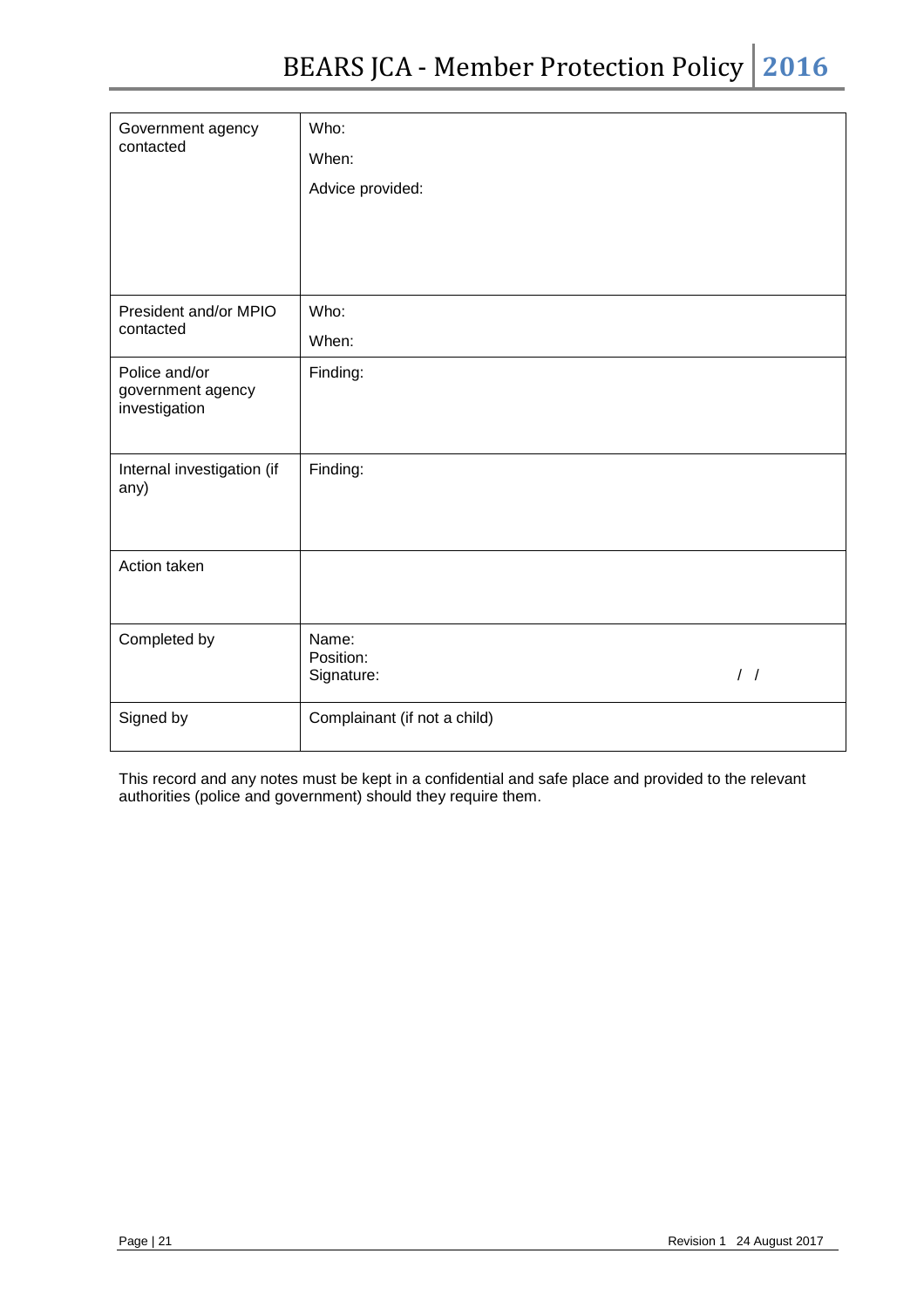| Government agency                                   | Who:                             |               |
|-----------------------------------------------------|----------------------------------|---------------|
| contacted                                           | When:                            |               |
|                                                     | Advice provided:                 |               |
|                                                     |                                  |               |
|                                                     |                                  |               |
|                                                     |                                  |               |
| President and/or MPIO                               | Who:                             |               |
| contacted                                           | When:                            |               |
| Police and/or<br>government agency<br>investigation | Finding:                         |               |
| Internal investigation (if<br>any)                  | Finding:                         |               |
| Action taken                                        |                                  |               |
| Completed by                                        | Name:<br>Position:<br>Signature: | $\frac{1}{2}$ |
| Signed by                                           | Complainant (if not a child)     |               |

This record and any notes must be kept in a confidential and safe place and provided to the relevant authorities (police and government) should they require them.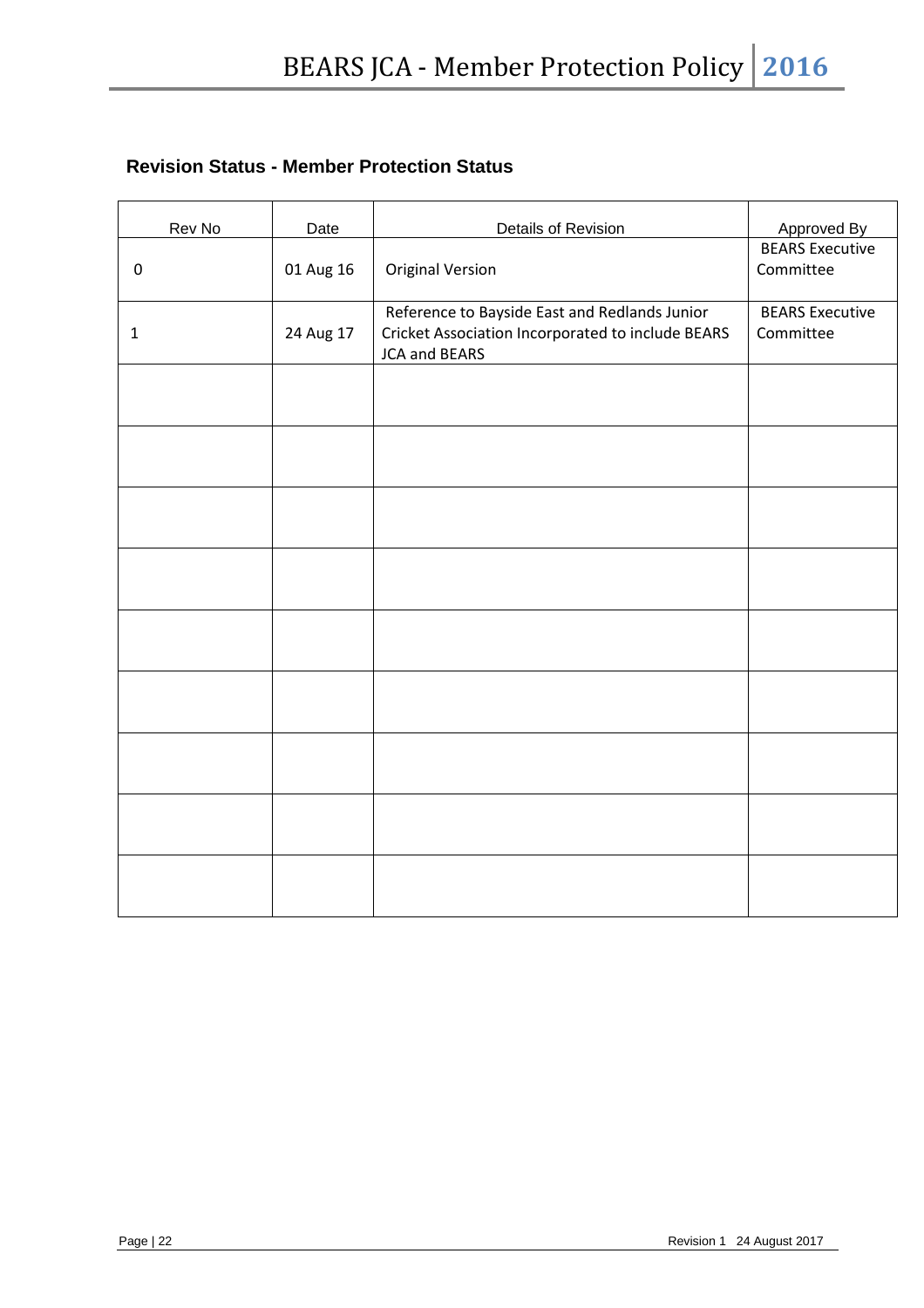# **Revision Status - Member Protection Status**

| Rev No       | Date      | Details of Revision                                                                                                        | Approved By                         |
|--------------|-----------|----------------------------------------------------------------------------------------------------------------------------|-------------------------------------|
| $\pmb{0}$    | 01 Aug 16 | <b>Original Version</b>                                                                                                    | <b>BEARS</b> Executive<br>Committee |
| $\mathbf{1}$ | 24 Aug 17 | Reference to Bayside East and Redlands Junior<br>Cricket Association Incorporated to include BEARS<br><b>JCA and BEARS</b> | <b>BEARS Executive</b><br>Committee |
|              |           |                                                                                                                            |                                     |
|              |           |                                                                                                                            |                                     |
|              |           |                                                                                                                            |                                     |
|              |           |                                                                                                                            |                                     |
|              |           |                                                                                                                            |                                     |
|              |           |                                                                                                                            |                                     |
|              |           |                                                                                                                            |                                     |
|              |           |                                                                                                                            |                                     |
|              |           |                                                                                                                            |                                     |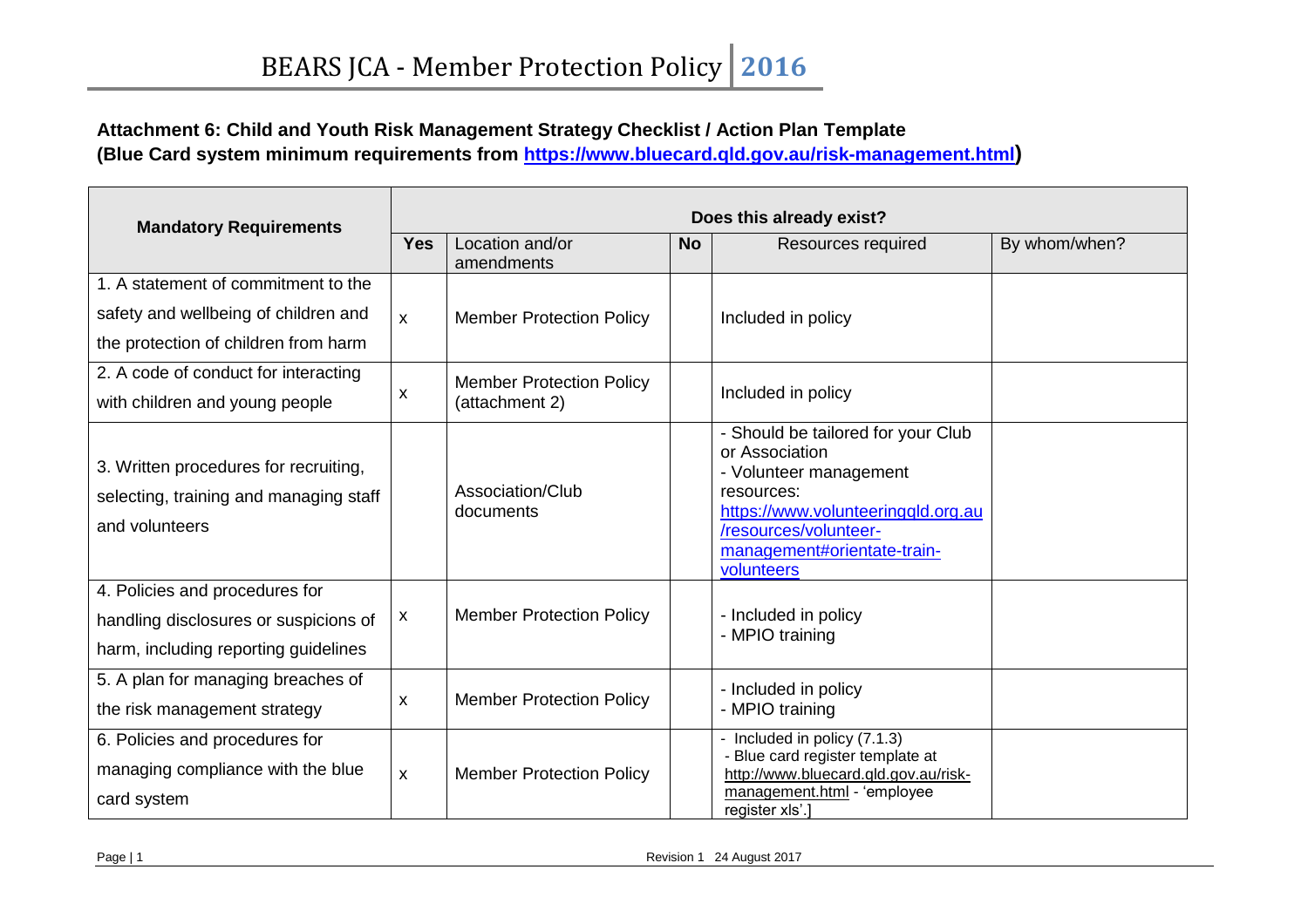# **Attachment 6: Child and Youth Risk Management Strategy Checklist / Action Plan Template**

**(Blue Card system minimum requirements from<https://www.bluecard.qld.gov.au/risk-management.html>)** 

| <b>Mandatory Requirements</b>          |              | Does this already exist?        |           |                                                                  |               |  |
|----------------------------------------|--------------|---------------------------------|-----------|------------------------------------------------------------------|---------------|--|
|                                        |              | Location and/or<br>amendments   | <b>No</b> | Resources required                                               | By whom/when? |  |
| 1. A statement of commitment to the    |              |                                 |           |                                                                  |               |  |
| safety and wellbeing of children and   | $\mathsf{x}$ | <b>Member Protection Policy</b> |           | Included in policy                                               |               |  |
| the protection of children from harm   |              |                                 |           |                                                                  |               |  |
| 2. A code of conduct for interacting   |              | <b>Member Protection Policy</b> |           |                                                                  |               |  |
| with children and young people         | x            | (attachment 2)                  |           | Included in policy                                               |               |  |
|                                        |              |                                 |           | - Should be tailored for your Club                               |               |  |
| 3. Written procedures for recruiting,  |              |                                 |           | or Association<br>- Volunteer management                         |               |  |
| selecting, training and managing staff |              | Association/Club                |           | resources:                                                       |               |  |
| and volunteers                         |              | documents                       |           | https://www.volunteeringqld.org.au<br>/resources/volunteer-      |               |  |
|                                        |              |                                 |           | management#orientate-train-                                      |               |  |
| 4. Policies and procedures for         |              |                                 |           | volunteers                                                       |               |  |
| handling disclosures or suspicions of  | X            | <b>Member Protection Policy</b> |           | - Included in policy                                             |               |  |
| harm, including reporting guidelines   |              |                                 |           | - MPIO training                                                  |               |  |
|                                        |              |                                 |           |                                                                  |               |  |
| 5. A plan for managing breaches of     | X            | <b>Member Protection Policy</b> |           | - Included in policy                                             |               |  |
| the risk management strategy           |              |                                 |           | - MPIO training                                                  |               |  |
| 6. Policies and procedures for         |              |                                 |           | - Included in policy (7.1.3)<br>- Blue card register template at |               |  |
| managing compliance with the blue      | X            | <b>Member Protection Policy</b> |           | http://www.bluecard.qld.gov.au/risk-                             |               |  |
| card system                            |              |                                 |           | management.html - 'employee<br>register xls'.]                   |               |  |